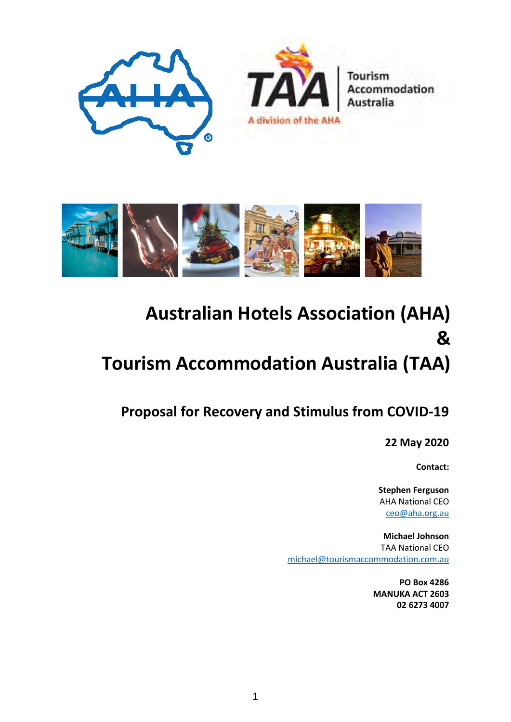



## **Australian Hotels Association (AHA) & Tourism Accommodation Australia (TAA)**

**Proposal for Recovery and Stimulus from COVID-19** 

**22 May 2020**

**Contact:**

**Stephen Ferguson** AHA National CEO [ceo@aha.org.au](mailto:ceo@aha.org.au) 

**Michael Johnson** TAA National CEO [michael@tourismaccommodation.com.au](mailto:michael@tourismaccommodation.com.au) 

> **PO Box 4286 MANUKA ACT 2603 02 6273 4007**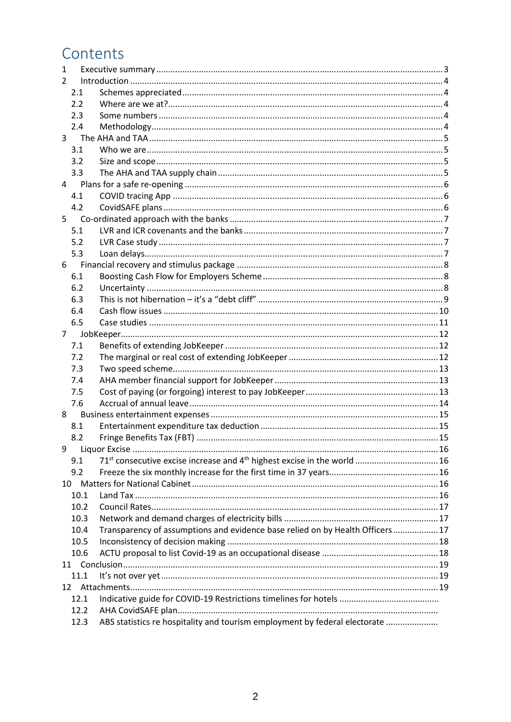## Contents

| 1              |      |                                                                                                  |  |
|----------------|------|--------------------------------------------------------------------------------------------------|--|
| $\mathcal{L}$  |      |                                                                                                  |  |
|                | 2.1  |                                                                                                  |  |
|                | 2.2  |                                                                                                  |  |
|                | 2.3  |                                                                                                  |  |
|                | 2.4  |                                                                                                  |  |
| 3              |      |                                                                                                  |  |
|                | 3.1  |                                                                                                  |  |
|                | 3.2  |                                                                                                  |  |
|                | 3.3  |                                                                                                  |  |
| $\overline{4}$ |      |                                                                                                  |  |
|                | 4.1  |                                                                                                  |  |
|                | 4.2  |                                                                                                  |  |
| 5              |      |                                                                                                  |  |
|                | 5.1  |                                                                                                  |  |
|                | 5.2  |                                                                                                  |  |
|                | 5.3  |                                                                                                  |  |
| 6              |      |                                                                                                  |  |
|                | 6.1  |                                                                                                  |  |
|                | 6.2  |                                                                                                  |  |
|                | 6.3  |                                                                                                  |  |
|                | 6.4  |                                                                                                  |  |
|                | 6.5  |                                                                                                  |  |
| $\overline{7}$ |      |                                                                                                  |  |
|                | 7.1  |                                                                                                  |  |
|                | 7.2  |                                                                                                  |  |
|                | 7.3  |                                                                                                  |  |
|                | 7.4  |                                                                                                  |  |
|                | 7.5  |                                                                                                  |  |
|                | 7.6  |                                                                                                  |  |
| 8              |      |                                                                                                  |  |
|                | 8.1  |                                                                                                  |  |
|                | 8.2  |                                                                                                  |  |
| 9              |      |                                                                                                  |  |
|                | 9.1  | 71 <sup>st</sup> consecutive excise increase and 4 <sup>th</sup> highest excise in the world  16 |  |
|                | 9.2  |                                                                                                  |  |
| 10             |      |                                                                                                  |  |
|                | 10.1 |                                                                                                  |  |
|                | 10.2 |                                                                                                  |  |
|                | 10.3 |                                                                                                  |  |
|                | 10.4 | Transparency of assumptions and evidence base relied on by Health Officers  17                   |  |
|                | 10.5 |                                                                                                  |  |
|                | 10.6 |                                                                                                  |  |
|                |      |                                                                                                  |  |
|                | 11.1 |                                                                                                  |  |
|                |      |                                                                                                  |  |
|                | 12.1 |                                                                                                  |  |
|                | 12.2 |                                                                                                  |  |
|                | 12.3 | ABS statistics re hospitality and tourism employment by federal electorate                       |  |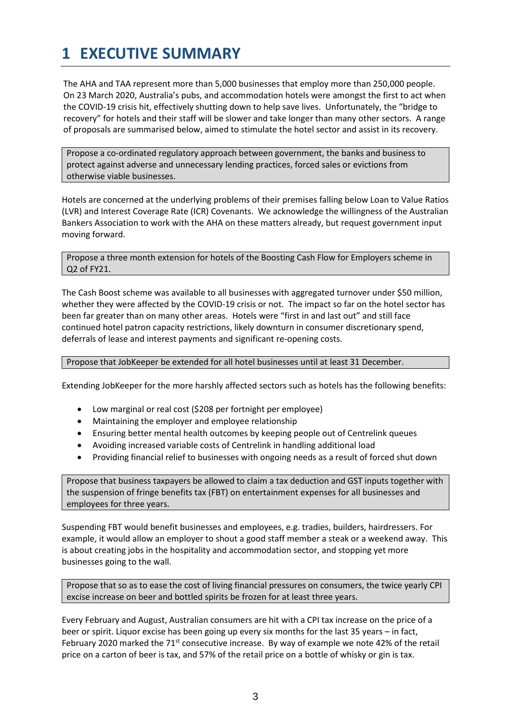## <span id="page-2-0"></span>**1 EXECUTIVE SUMMARY**

The AHA and TAA represent more than 5,000 businesses that employ more than 250,000 people. On 23 March 2020, Australia's pubs, and accommodation hotels were amongst the first to act when the COVID-19 crisis hit, effectively shutting down to help save lives. Unfortunately, the "bridge to recovery" for hotels and their staff will be slower and take longer than many other sectors. A range of proposals are summarised below, aimed to stimulate the hotel sector and assist in its recovery.

Propose a co-ordinated regulatory approach between government, the banks and business to protect against adverse and unnecessary lending practices, forced sales or evictions from otherwise viable businesses.

Hotels are concerned at the underlying problems of their premises falling below Loan to Value Ratios (LVR) and Interest Coverage Rate (ICR) Covenants. We acknowledge the willingness of the Australian Bankers Association to work with the AHA on these matters already, but request government input moving forward.

Propose a three month extension for hotels of the Boosting Cash Flow for Employers scheme in Q2 of FY21.

The Cash Boost scheme was available to all businesses with aggregated turnover under \$50 million, whether they were affected by the COVID-19 crisis or not. The impact so far on the hotel sector has been far greater than on many other areas. Hotels were "first in and last out" and still face continued hotel patron capacity restrictions, likely downturn in consumer discretionary spend, deferrals of lease and interest payments and significant re-opening costs.

Propose that JobKeeper be extended for all hotel businesses until at least 31 December.

Extending JobKeeper for the more harshly affected sectors such as hotels has the following benefits:

- Low marginal or real cost (\$208 per fortnight per employee)
- Maintaining the employer and employee relationship
- Ensuring better mental health outcomes by keeping people out of Centrelink queues
- Avoiding increased variable costs of Centrelink in handling additional load
- Providing financial relief to businesses with ongoing needs as a result of forced shut down

Propose that business taxpayers be allowed to claim a tax deduction and GST inputs together with the suspension of fringe benefits tax (FBT) on entertainment expenses for all businesses and employees for three years.

Suspending FBT would benefit businesses and employees, e.g. tradies, builders, hairdressers. For example, it would allow an employer to shout a good staff member a steak or a weekend away. This is about creating jobs in the hospitality and accommodation sector, and stopping yet more businesses going to the wall.

Propose that so as to ease the cost of living financial pressures on consumers, the twice yearly CPI excise increase on beer and bottled spirits be frozen for at least three years.

Every February and August, Australian consumers are hit with a CPI tax increase on the price of a beer or spirit. Liquor excise has been going up every six months for the last 35 years – in fact, February 2020 marked the  $71<sup>st</sup>$  consecutive increase. By way of example we note 42% of the retail price on a carton of beer is tax, and 57% of the retail price on a bottle of whisky or gin is tax.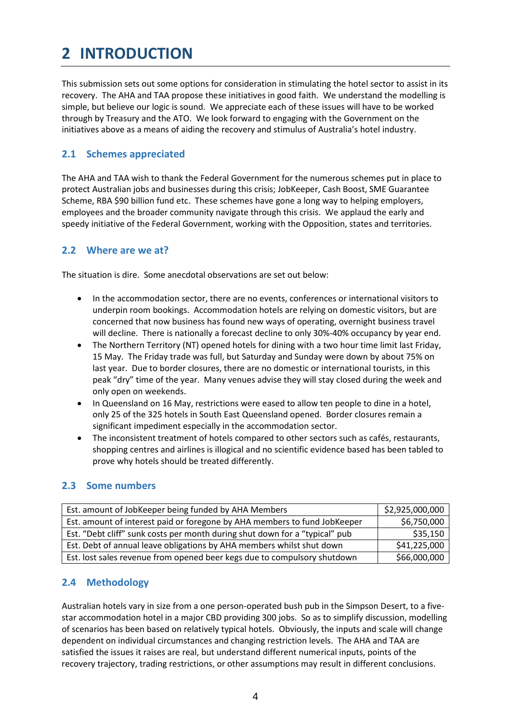## <span id="page-3-0"></span>**2 INTRODUCTION**

This submission sets out some options for consideration in stimulating the hotel sector to assist in its recovery. The AHA and TAA propose these initiatives in good faith. We understand the modelling is simple, but believe our logic is sound. We appreciate each of these issues will have to be worked through by Treasury and the ATO. We look forward to engaging with the Government on the initiatives above as a means of aiding the recovery and stimulus of Australia's hotel industry.

#### <span id="page-3-1"></span>**2.1 Schemes appreciated**

The AHA and TAA wish to thank the Federal Government for the numerous schemes put in place to protect Australian jobs and businesses during this crisis; JobKeeper, Cash Boost, SME Guarantee Scheme, RBA \$90 billion fund etc. These schemes have gone a long way to helping employers, employees and the broader community navigate through this crisis. We applaud the early and speedy initiative of the Federal Government, working with the Opposition, states and territories.

#### <span id="page-3-2"></span>**2.2 Where are we at?**

The situation is dire. Some anecdotal observations are set out below:

- In the accommodation sector, there are no events, conferences or international visitors to underpin room bookings. Accommodation hotels are relying on domestic visitors, but are concerned that now business has found new ways of operating, overnight business travel will decline. There is nationally a forecast decline to only 30%-40% occupancy by year end.
- The Northern Territory (NT) opened hotels for dining with a two hour time limit last Friday, 15 May. The Friday trade was full, but Saturday and Sunday were down by about 75% on last year. Due to border closures, there are no domestic or international tourists, in this peak "dry" time of the year. Many venues advise they will stay closed during the week and only open on weekends.
- In Queensland on 16 May, restrictions were eased to allow ten people to dine in a hotel, only 25 of the 325 hotels in South East Queensland opened. Border closures remain a significant impediment especially in the accommodation sector.
- The inconsistent treatment of hotels compared to other sectors such as cafés, restaurants, shopping centres and airlines is illogical and no scientific evidence based has been tabled to prove why hotels should be treated differently.

#### <span id="page-3-3"></span>**2.3 Some numbers**

| Est. amount of JobKeeper being funded by AHA Members                        | \$2,925,000,000 |
|-----------------------------------------------------------------------------|-----------------|
| Est. amount of interest paid or foregone by AHA members to fund JobKeeper   | \$6,750,000     |
| Est. "Debt cliff" sunk costs per month during shut down for a "typical" pub | \$35,150        |
| Est. Debt of annual leave obligations by AHA members whilst shut down       | \$41,225,000    |
| Est. lost sales revenue from opened beer kegs due to compulsory shutdown    | \$66,000,000    |

#### <span id="page-3-4"></span>**2.4 Methodology**

Australian hotels vary in size from a one person-operated bush pub in the Simpson Desert, to a fivestar accommodation hotel in a major CBD providing 300 jobs. So as to simplify discussion, modelling of scenarios has been based on relatively typical hotels. Obviously, the inputs and scale will change dependent on individual circumstances and changing restriction levels. The AHA and TAA are satisfied the issues it raises are real, but understand different numerical inputs, points of the recovery trajectory, trading restrictions, or other assumptions may result in different conclusions.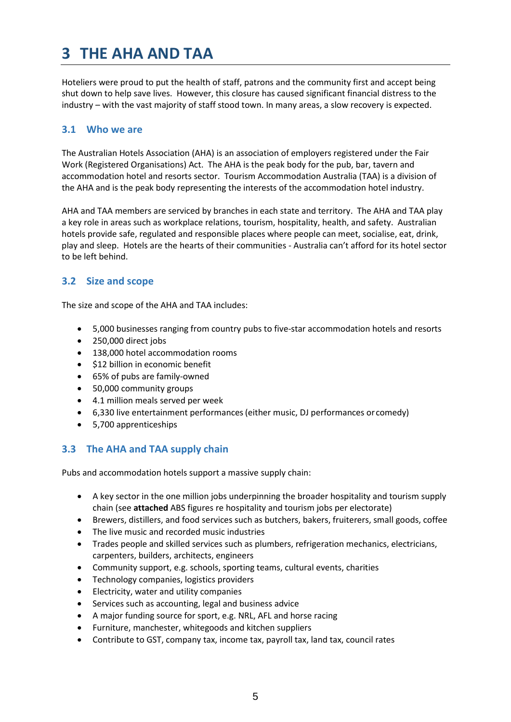## <span id="page-4-0"></span>**3 THE AHA AND TAA**

Hoteliers were proud to put the health of staff, patrons and the community first and accept being shut down to help save lives. However, this closure has caused significant financial distress to the industry – with the vast majority of staff stood town. In many areas, a slow recovery is expected.

#### <span id="page-4-1"></span>**3.1 Who we are**

The Australian Hotels Association (AHA) is an association of employers registered under the Fair Work (Registered Organisations) Act. The AHA is the peak body for the pub, bar, tavern and accommodation hotel and resorts sector. Tourism Accommodation Australia (TAA) is a division of the AHA and is the peak body representing the interests of the accommodation hotel industry.

AHA and TAA members are serviced by branches in each state and territory. The AHA and TAA play a key role in areas such as workplace relations, tourism, hospitality, health, and safety. Australian hotels provide safe, regulated and responsible places where people can meet, socialise, eat, drink, play and sleep. Hotels are the hearts of their communities - Australia can't afford for its hotel sector to be left behind.

#### <span id="page-4-2"></span>**3.2 Size and scope**

The size and scope of the AHA and TAA includes:

- 5,000 businesses ranging from country pubs to five-star accommodation hotels and resorts
- 250,000 direct jobs
- 138,000 hotel accommodation rooms
- \$12 billion in economic benefit
- 65% of pubs are family-owned
- 50,000 community groups
- 4.1 million meals served per week
- 6,330 live entertainment performances(either music, DJ performances or comedy)
- 5,700 apprenticeships

#### <span id="page-4-3"></span>**3.3 The AHA and TAA supply chain**

Pubs and accommodation hotels support a massive supply chain:

- A key sector in the one million jobs underpinning the broader hospitality and tourism supply chain (see **attached** ABS figures re hospitality and tourism jobs per electorate)
- Brewers, distillers, and food services such as butchers, bakers, fruiterers, small goods, coffee
- The live music and recorded music industries
- Trades people and skilled services such as plumbers, refrigeration mechanics, electricians, carpenters, builders, architects, engineers
- Community support, e.g. schools, sporting teams, cultural events, charities
- Technology companies, logistics providers
- Electricity, water and utility companies
- Services such as accounting, legal and business advice
- A major funding source for sport, e.g. NRL, AFL and horse racing
- Furniture, manchester, whitegoods and kitchen suppliers
- Contribute to GST, company tax, income tax, payroll tax, land tax, council rates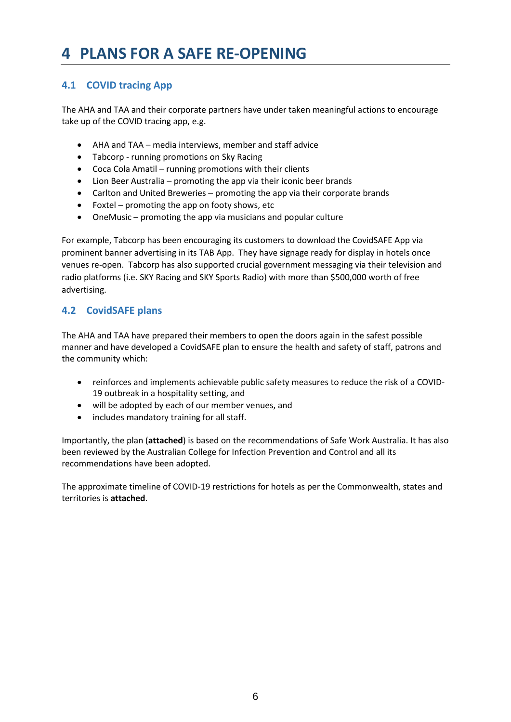## <span id="page-5-0"></span>**4 PLANS FOR A SAFE RE-OPENING**

### <span id="page-5-1"></span>**4.1 COVID tracing App**

The AHA and TAA and their corporate partners have under taken meaningful actions to encourage take up of the COVID tracing app, e.g.

- AHA and TAA media interviews, member and staff advice
- Tabcorp running promotions on Sky Racing
- Coca Cola Amatil running promotions with their clients
- Lion Beer Australia promoting the app via their iconic beer brands
- Carlton and United Breweries promoting the app via their corporate brands
- Foxtel promoting the app on footy shows, etc
- OneMusic promoting the app via musicians and popular culture

For example, Tabcorp has been encouraging its customers to download the CovidSAFE App via prominent banner advertising in its TAB App. They have signage ready for display in hotels once venues re-open. Tabcorp has also supported crucial government messaging via their television and radio platforms (i.e. SKY Racing and SKY Sports Radio) with more than \$500,000 worth of free advertising.

### <span id="page-5-2"></span>**4.2 CovidSAFE plans**

The AHA and TAA have prepared their members to open the doors again in the safest possible manner and have developed a CovidSAFE plan to ensure the health and safety of staff, patrons and the community which:

- reinforces and implements achievable public safety measures to reduce the risk of a COVID-19 outbreak in a hospitality setting, and
- will be adopted by each of our member venues, and
- includes mandatory training for all staff.

Importantly, the plan (**attached**) is based on the recommendations of Safe Work Australia. It has also been reviewed by the Australian College for Infection Prevention and Control and all its recommendations have been adopted.

The approximate timeline of COVID-19 restrictions for hotels as per the Commonwealth, states and territories is **attached**.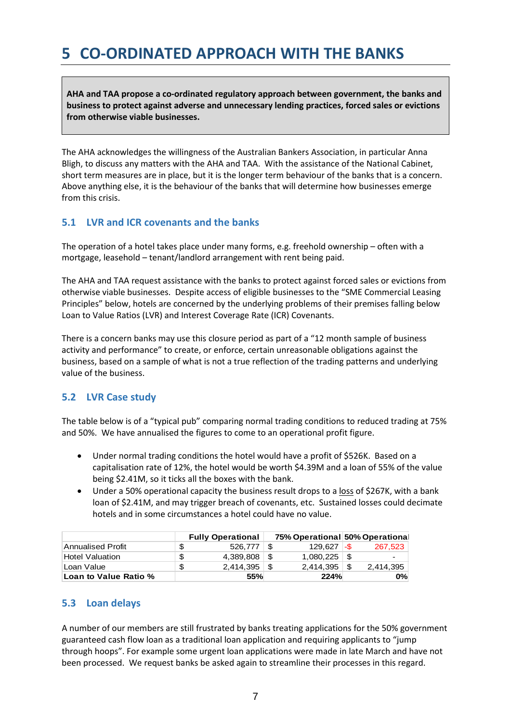## <span id="page-6-0"></span>**5 CO-ORDINATED APPROACH WITH THE BANKS**

**AHA and TAA propose a co-ordinated regulatory approach between government, the banks and business to protect against adverse and unnecessary lending practices, forced sales or evictions from otherwise viable businesses.**

The AHA acknowledges the willingness of the Australian Bankers Association, in particular Anna Bligh, to discuss any matters with the AHA and TAA. With the assistance of the National Cabinet, short term measures are in place, but it is the longer term behaviour of the banks that is a concern. Above anything else, it is the behaviour of the banks that will determine how businesses emerge from this crisis.

#### <span id="page-6-1"></span>**5.1 LVR and ICR covenants and the banks**

The operation of a hotel takes place under many forms, e.g. freehold ownership – often with a mortgage, leasehold – tenant/landlord arrangement with rent being paid.

The AHA and TAA request assistance with the banks to protect against forced sales or evictions from otherwise viable businesses. Despite access of eligible businesses to the "SME Commercial Leasing Principles" below, hotels are concerned by the underlying problems of their premises falling below Loan to Value Ratios (LVR) and Interest Coverage Rate (ICR) Covenants.

There is a concern banks may use this closure period as part of a "12 month sample of business activity and performance" to create, or enforce, certain unreasonable obligations against the business, based on a sample of what is not a true reflection of the trading patterns and underlying value of the business.

#### <span id="page-6-2"></span>**5.2 LVR Case study**

The table below is of a "typical pub" comparing normal trading conditions to reduced trading at 75% and 50%. We have annualised the figures to come to an operational profit figure.

- Under normal trading conditions the hotel would have a profit of \$526K. Based on a capitalisation rate of 12%, the hotel would be worth \$4.39M and a loan of 55% of the value being \$2.41M, so it ticks all the boxes with the bank.
- Under a 50% operational capacity the business result drops to a loss of \$267K, with a bank loan of \$2.41M, and may trigger breach of covenants, etc. Sustained losses could decimate hotels and in some circumstances a hotel could have no value.

|                          | <b>Fully Operational</b> |      | 75% Operational 50% Operational |   |                          |
|--------------------------|--------------------------|------|---------------------------------|---|--------------------------|
| <b>Annualised Profit</b> | 526.777                  | - \$ | $129.627 -$                     |   | 267.523                  |
| <b>Hotel Valuation</b>   | 4.389.808                | 8.   | 1.080.225                       | 8 | $\overline{\phantom{0}}$ |
| Loan Value               |                          |      |                                 |   | 2.414.395                |
| Loan to Value Ratio %    | <b>55%</b>               |      | 224%                            |   | $0\%$                    |

#### <span id="page-6-3"></span>**5.3 Loan delays**

A number of our members are still frustrated by banks treating applications for the 50% government guaranteed cash flow loan as a traditional loan application and requiring applicants to "jump through hoops". For example some urgent loan applications were made in late March and have not been processed. We request banks be asked again to streamline their processes in this regard.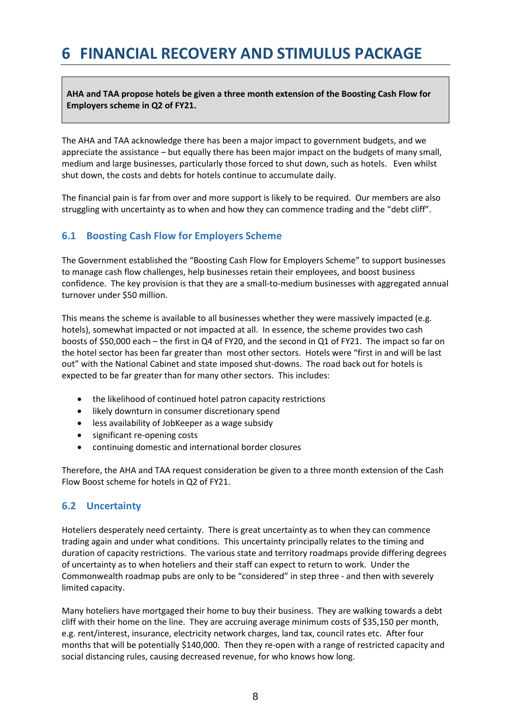## <span id="page-7-0"></span>**6 FINANCIAL RECOVERY AND STIMULUS PACKAGE**

**AHA and TAA propose hotels be given a three month extension of the Boosting Cash Flow for Employers scheme in Q2 of FY21.**

The AHA and TAA acknowledge there has been a major impact to government budgets, and we appreciate the assistance – but equally there has been major impact on the budgets of many small, medium and large businesses, particularly those forced to shut down, such as hotels. Even whilst shut down, the costs and debts for hotels continue to accumulate daily.

The financial pain is far from over and more support is likely to be required. Our members are also struggling with uncertainty as to when and how they can commence trading and the "debt cliff".

#### <span id="page-7-1"></span>**6.1 Boosting Cash Flow for Employers Scheme**

The Government established the "Boosting Cash Flow for Employers Scheme" to support businesses to manage cash flow challenges, help businesses retain their employees, and boost business confidence. The key provision is that they are a small-to-medium businesses with aggregated annual turnover under \$50 million.

This means the scheme is available to all businesses whether they were massively impacted (e.g. hotels), somewhat impacted or not impacted at all. In essence, the scheme provides two cash boosts of \$50,000 each – the first in Q4 of FY20, and the second in Q1 of FY21. The impact so far on the hotel sector has been far greater than most other sectors. Hotels were "first in and will be last out" with the National Cabinet and state imposed shut-downs. The road back out for hotels is expected to be far greater than for many other sectors. This includes:

- the likelihood of continued hotel patron capacity restrictions
- likely downturn in consumer discretionary spend
- less availability of JobKeeper as a wage subsidy
- significant re-opening costs
- continuing domestic and international border closures

Therefore, the AHA and TAA request consideration be given to a three month extension of the Cash Flow Boost scheme for hotels in Q2 of FY21.

#### <span id="page-7-2"></span>**6.2 Uncertainty**

Hoteliers desperately need certainty. There is great uncertainty as to when they can commence trading again and under what conditions. This uncertainty principally relates to the timing and duration of capacity restrictions. The various state and territory roadmaps provide differing degrees of uncertainty as to when hoteliers and their staff can expect to return to work. Under the Commonwealth roadmap pubs are only to be "considered" in step three - and then with severely limited capacity.

Many hoteliers have mortgaged their home to buy their business. They are walking towards a debt cliff with their home on the line. They are accruing average minimum costs of \$35,150 per month, e.g. rent/interest, insurance, electricity network charges, land tax, council rates etc. After four months that will be potentially \$140,000. Then they re-open with a range of restricted capacity and social distancing rules, causing decreased revenue, for who knows how long.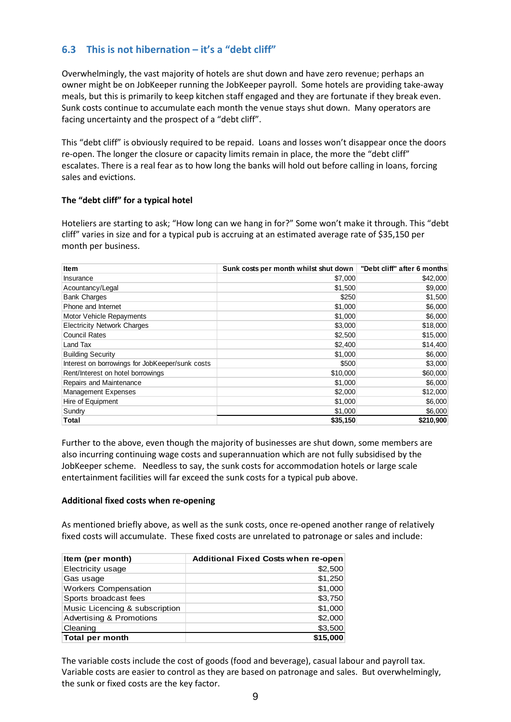#### <span id="page-8-0"></span>**6.3 This is not hibernation – it's a "debt cliff"**

Overwhelmingly, the vast majority of hotels are shut down and have zero revenue; perhaps an owner might be on JobKeeper running the JobKeeper payroll. Some hotels are providing take-away meals, but this is primarily to keep kitchen staff engaged and they are fortunate if they break even. Sunk costs continue to accumulate each month the venue stays shut down. Many operators are facing uncertainty and the prospect of a "debt cliff".

This "debt cliff" is obviously required to be repaid. Loans and losses won't disappear once the doors re-open. The longer the closure or capacity limits remain in place, the more the "debt cliff" escalates. There is a real fear as to how long the banks will hold out before calling in loans, forcing sales and evictions.

#### **The "debt cliff" for a typical hotel**

Hoteliers are starting to ask; "How long can we hang in for?" Some won't make it through. This "debt cliff" varies in size and for a typical pub is accruing at an estimated average rate of \$35,150 per month per business.

| <b>Item</b>                                     | Sunk costs per month whilst shut down | "Debt cliff" after 6 months |
|-------------------------------------------------|---------------------------------------|-----------------------------|
| Insurance                                       | \$7,000                               | \$42,000                    |
| Acountancy/Legal                                | \$1,500                               | \$9,000                     |
| <b>Bank Charges</b>                             | \$250                                 | \$1,500                     |
| Phone and Internet                              | \$1,000                               | \$6,000                     |
| Motor Vehicle Repayments                        | \$1,000                               | \$6,000                     |
| <b>Electricity Network Charges</b>              | \$3,000                               | \$18,000                    |
| <b>Council Rates</b>                            | \$2,500                               | \$15,000                    |
| Land Tax                                        | \$2,400                               | \$14,400                    |
| <b>Building Security</b>                        | \$1,000                               | \$6,000                     |
| Interest on borrowings for JobKeeper/sunk costs | \$500                                 | \$3,000                     |
| Rent/Interest on hotel borrowings               | \$10,000                              | \$60,000                    |
| Repairs and Maintenance                         | \$1,000                               | \$6,000                     |
| <b>Management Expenses</b>                      | \$2,000                               | \$12,000                    |
| Hire of Equipment                               | \$1,000                               | \$6,000                     |
| Sundry                                          | \$1,000                               | \$6,000                     |
| Total                                           | \$35,150                              | \$210,900                   |

Further to the above, even though the majority of businesses are shut down, some members are also incurring continuing wage costs and superannuation which are not fully subsidised by the JobKeeper scheme. Needless to say, the sunk costs for accommodation hotels or large scale entertainment facilities will far exceed the sunk costs for a typical pub above.

#### **Additional fixed costs when re-opening**

As mentioned briefly above, as well as the sunk costs, once re-opened another range of relatively fixed costs will accumulate. These fixed costs are unrelated to patronage or sales and include:

| Item (per month)               | <b>Additional Fixed Costs when re-open</b> |
|--------------------------------|--------------------------------------------|
| Electricity usage              | \$2,500                                    |
| Gas usage                      | \$1,250                                    |
| <b>Workers Compensation</b>    | \$1,000                                    |
| Sports broadcast fees          | \$3,750                                    |
| Music Licencing & subscription | \$1,000                                    |
| Advertising & Promotions       | \$2,000                                    |
| Cleaning                       | \$3,500                                    |
| Total per month                | \$15,000                                   |

The variable costs include the cost of goods (food and beverage), casual labour and payroll tax. Variable costs are easier to control as they are based on patronage and sales. But overwhelmingly, the sunk or fixed costs are the key factor.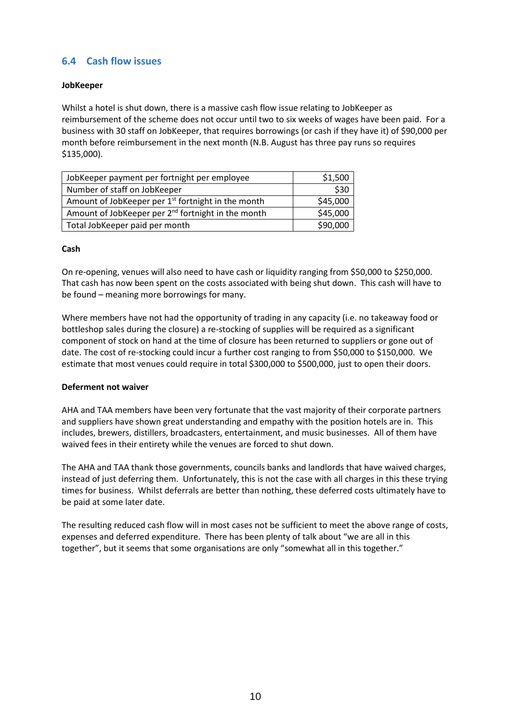#### <span id="page-9-0"></span>**6.4 Cash flow issues**

#### **JobKeeper**

Whilst a hotel is shut down, there is a massive cash flow issue relating to JobKeeper as reimbursement of the scheme does not occur until two to six weeks of wages have been paid. For a business with 30 staff on JobKeeper, that requires borrowings (or cash if they have it) of \$90,000 per month before reimbursement in the next month (N.B. August has three pay runs so requires \$135,000).

| JobKeeper payment per fortnight per employee                   | \$1,500  |
|----------------------------------------------------------------|----------|
| Number of staff on JobKeeper                                   | \$30     |
| Amount of JobKeeper per 1 <sup>st</sup> fortnight in the month | \$45,000 |
| Amount of JobKeeper per 2 <sup>nd</sup> fortnight in the month | \$45,000 |
| Total JobKeeper paid per month                                 | \$90,000 |

#### **Cash**

On re-opening, venues will also need to have cash or liquidity ranging from \$50,000 to \$250,000. That cash has now been spent on the costs associated with being shut down. This cash will have to be found – meaning more borrowings for many.

Where members have not had the opportunity of trading in any capacity (i.e. no takeaway food or bottleshop sales during the closure) a re-stocking of supplies will be required as a significant component of stock on hand at the time of closure has been returned to suppliers or gone out of date. The cost of re-stocking could incur a further cost ranging to from \$50,000 to \$150,000. We estimate that most venues could require in total \$300,000 to \$500,000, just to open their doors.

#### **Deferment not waiver**

AHA and TAA members have been very fortunate that the vast majority of their corporate partners and suppliers have shown great understanding and empathy with the position hotels are in. This includes, brewers, distillers, broadcasters, entertainment, and music businesses. All of them have waived fees in their entirety while the venues are forced to shut down.

The AHA and TAA thank those governments, councils banks and landlords that have waived charges, instead of just deferring them. Unfortunately, this is not the case with all charges in this these trying times for business. Whilst deferrals are better than nothing, these deferred costs ultimately have to be paid at some later date.

The resulting reduced cash flow will in most cases not be sufficient to meet the above range of costs, expenses and deferred expenditure. There has been plenty of talk about "we are all in this together", but it seems that some organisations are only "somewhat all in this together."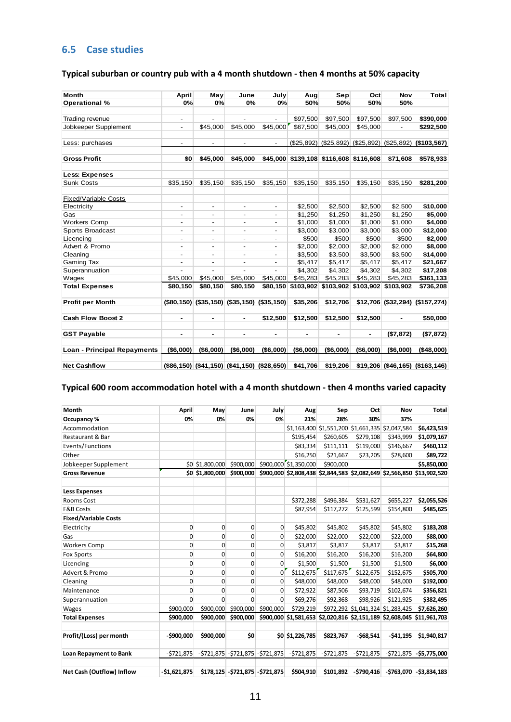#### <span id="page-10-0"></span>**6.5 Case studies**

#### **Typical suburban or country pub with a 4 month shutdown - then 4 months at 50% capacity**

| <b>Month</b>                       | April                    | May                      | June                     | July                                            | Aug            | Sep                                    | Oct        | Nov            | <b>Total</b>                     |
|------------------------------------|--------------------------|--------------------------|--------------------------|-------------------------------------------------|----------------|----------------------------------------|------------|----------------|----------------------------------|
| Operational %                      | 0%                       | 0%                       | 0%                       | 0%                                              | 50%            | 50%                                    | 50%        | 50%            |                                  |
|                                    |                          |                          |                          |                                                 |                |                                        |            |                |                                  |
| Trading revenue                    | ٠                        |                          |                          | ÷.                                              | \$97,500       | \$97,500                               | \$97,500   | \$97,500       | \$390,000                        |
| Jobkeeper Supplement               | ٠                        | \$45,000                 | \$45,000                 | \$45,000                                        | \$67,500       | \$45,000                               | \$45,000   |                | \$292,500                        |
|                                    |                          |                          |                          |                                                 |                |                                        |            |                |                                  |
| Less: purchases                    | $\overline{\phantom{a}}$ | ۰.                       | $\overline{\phantom{a}}$ | $\overline{\phantom{a}}$                        | (\$25,892)     | (\$25,892)                             | (\$25,892) |                | $(S25,892)$ (\$103,567)          |
| <b>Gross Profit</b>                | \$0                      | \$45,000                 | \$45,000                 |                                                 |                | \$45,000 \$139,108 \$116,608 \$116,608 |            | \$71,608       | \$578,933                        |
| Less: Expenses                     |                          |                          |                          |                                                 |                |                                        |            |                |                                  |
| <b>Sunk Costs</b>                  | \$35,150                 | \$35,150                 | \$35,150                 | \$35,150                                        | \$35,150       | \$35,150                               | \$35,150   | \$35,150       | \$281,200                        |
| <b>Fixed/Variable Costs</b>        |                          |                          |                          |                                                 |                |                                        |            |                |                                  |
| Electricity                        | $\blacksquare$           | $\overline{\phantom{0}}$ | $\blacksquare$           | $\overline{\phantom{a}}$                        | \$2,500        | \$2,500                                | \$2,500    | \$2,500        | \$10,000                         |
| Gas                                | ÷,                       |                          | ÷,                       | $\blacksquare$                                  | \$1,250        | \$1,250                                | \$1,250    | \$1,250        | \$5,000                          |
| <b>Workers Comp</b>                | ٠                        | ٠                        | $\overline{\phantom{a}}$ | $\overline{\phantom{a}}$                        | \$1,000        | \$1,000                                | \$1,000    | \$1,000        | \$4,000                          |
| Sports Broadcast                   | $\overline{\phantom{a}}$ | $\overline{\phantom{0}}$ | $\overline{\phantom{a}}$ | $\overline{\phantom{a}}$                        | \$3,000        | \$3,000                                | \$3,000    | \$3,000        | \$12,000                         |
| Licencing                          | -                        | $\overline{\phantom{0}}$ | $\overline{\phantom{a}}$ | $\overline{\phantom{a}}$                        | \$500          | \$500                                  | \$500      | \$500          | \$2,000                          |
| Advert & Promo                     | ÷.                       |                          |                          | $\overline{\phantom{0}}$                        | \$2,000        | \$2,000                                | \$2,000    | \$2,000        | \$8,000                          |
| Cleaning                           |                          |                          |                          | $\overline{\phantom{0}}$                        | \$3,500        | \$3,500                                | \$3,500    | \$3,500        | \$14,000                         |
| Gaming Tax                         | ٠                        |                          | ÷,                       | $\overline{\phantom{a}}$                        | \$5,417        | \$5,417                                | \$5,417    | \$5,417        | \$21,667                         |
| Superannuation                     |                          |                          |                          |                                                 | \$4,302        | \$4,302                                | \$4,302    | \$4,302        | \$17,208                         |
| Wages                              | \$45,000                 | \$45,000                 | \$45,000                 | \$45,000                                        | \$45,283       | \$45,283                               | \$45,283   | \$45,283       | \$361,133                        |
| <b>Total Expenses</b>              | \$80,150                 | \$80,150                 | \$80,150                 | \$80,150                                        | \$103,902      | \$103,902                              | \$103,902  | \$103,902      | \$736,208                        |
| <b>Profit per Month</b>            |                          |                          |                          | $($80,150)$ $($35,150)$ $($35,150)$ $($35,150)$ | \$35,206       | \$12,706                               |            |                | \$12,706 (\$32,294) (\$157,274)  |
| Cash Flow Boost 2                  | $\blacksquare$           | ٠                        | $\blacksquare$           | \$12,500                                        | \$12,500       | \$12,500                               | \$12,500   | $\blacksquare$ | \$50,000                         |
| <b>GST Payable</b>                 | $\blacksquare$           | ٠                        | ۰                        | $\blacksquare$                                  | $\blacksquare$ | $\blacksquare$                         | ٠          | (\$7,872)      | (\$7,872)                        |
| <b>Loan - Principal Repayments</b> | (\$6,000)                | (\$6,000)                | (\$6,000)                | (\$6,000)                                       | (\$6,000)      | (\$6,000)                              | (\$6,000)  | (\$6,000)      | (\$48,000)                       |
| <b>Net Cashflow</b>                |                          |                          |                          | $(S86, 150)$ (\$41,150) (\$41,150) (\$28,650)   | \$41,706       | \$19,206                               |            |                | $$19,206$ (\$46,165) (\$163,146) |

#### **Typical 600 room accommodation hotel with a 4 month shutdown - then 4 months varied capacity**

| Month                            | April         | May             | June                                  | July         | Aug                   | Sep           | Oct         | Nov                                             | <b>Total</b>                                                           |
|----------------------------------|---------------|-----------------|---------------------------------------|--------------|-----------------------|---------------|-------------|-------------------------------------------------|------------------------------------------------------------------------|
| Occupancy %                      | 0%            | 0%              | 0%                                    | 0%           | 21%                   | 28%           | 30%         | 37%                                             |                                                                        |
| Accommodation                    |               |                 |                                       |              |                       |               |             | \$1,163,400 \$1,551,200 \$1,661,335 \$2,047,584 | \$6,423,519                                                            |
| Restaurant & Bar                 |               |                 |                                       |              | \$195,454             | \$260,605     | \$279,108   | \$343,999                                       | \$1,079,167                                                            |
| Events/Functions                 |               |                 |                                       |              | \$83,334              | \$111,111     | \$119,000   | \$146,667                                       | \$460,112                                                              |
| Other                            |               |                 |                                       |              | \$16,250              | \$21,667      | \$23,205    | \$28,600                                        | \$89,722                                                               |
| Jobkeeper Supplement             |               | \$0 \$1,800,000 | \$900,000                             |              | \$900,000 \$1,350,000 | \$900,000     |             |                                                 | \$5,850,000                                                            |
| <b>Gross Revenue</b>             |               | \$0 \$1,800,000 | \$900,000                             |              |                       |               |             |                                                 | \$900,000 \$2,808,438 \$2,844,583 \$2,082,649 \$2,566,850 \$13,902,520 |
| <b>Less Expenses</b>             |               |                 |                                       |              |                       |               |             |                                                 |                                                                        |
| <b>Rooms Cost</b>                |               |                 |                                       |              | \$372,288             | \$496,384     | \$531,627   | \$655,227                                       | \$2,055,526                                                            |
| <b>F&amp;B Costs</b>             |               |                 |                                       |              | \$87,954              | \$117,272     | \$125,599   | \$154,800                                       | \$485,625                                                              |
| <b>Fixed/Variable Costs</b>      |               |                 |                                       |              |                       |               |             |                                                 |                                                                        |
| Electricity                      | 0             | 0               | 0                                     | 0            | \$45,802              | \$45,802      | \$45,802    | \$45,802                                        | \$183,208                                                              |
| Gas                              | 0             | $\mathbf 0$     | 0                                     | $\mathbf{0}$ | \$22,000              | \$22,000      | \$22,000    | \$22,000                                        | \$88,000                                                               |
| <b>Workers Comp</b>              | 0             | $\mathbf 0$     | 0                                     | 0            | \$3,817               | \$3,817       | \$3,817     | \$3,817                                         | \$15,268                                                               |
| <b>Fox Sports</b>                | 0             | $\mathbf 0$     | 0                                     | $\mathbf{0}$ | \$16,200              | \$16,200      | \$16,200    | \$16,200                                        | \$64,800                                                               |
| Licencing                        | 0             | 0               | 0                                     | 0            | \$1,500               | \$1,500       | \$1,500     | \$1,500                                         | \$6,000                                                                |
| Advert & Promo                   | 0             | $\mathbf 0$     | 0                                     | 0            | \$112,675             | \$117,675     | \$122,675   | \$152,675                                       | \$505,700                                                              |
| Cleaning                         | 0             | $\mathbf 0$     | 0                                     | 0            | \$48,000              | \$48,000      | \$48,000    | \$48,000                                        | \$192,000                                                              |
| Maintenance                      | 0             | $\mathbf 0$     | 0                                     | 0            | \$72,922              | \$87,506      | \$93,719    | \$102,674                                       | \$356,821                                                              |
| Superannuation                   | O             | $\Omega$        | 0                                     | $\Omega$     | \$69,276              | \$92,368      | \$98,926    | \$121,925                                       | \$382,495                                                              |
| Wages                            | \$900,000     | \$900,000       | \$900,000                             | \$900,000    | \$729,219             |               |             | \$972,292 \$1,041,324 \$1,283,425               | \$7,626,260                                                            |
| <b>Total Expenses</b>            | \$900,000     | \$900,000       | \$900,000                             |              |                       |               |             |                                                 | \$900,000 \$1,581,653 \$2,020,816 \$2,151,189 \$2,608,045 \$11,961,703 |
| Profit/(Loss) per month          | $-$ \$900,000 | \$900,000       | \$0                                   |              | \$0 \$1,226,785       | \$823,767     | $-568,541$  | $-541,195$                                      | \$1,940,817                                                            |
|                                  |               |                 |                                       |              |                       |               |             |                                                 |                                                                        |
| Loan Repayment to Bank           | $-5721,875$   |                 | $-$ \$721,875 - \$721,875 - \$721,875 |              | -\$721,875            | $-$ \$721,875 | $-5721,875$ |                                                 | $-5721,875$ $-55,775,000$                                              |
| <b>Net Cash (Outflow) Inflow</b> | $-$1,621,875$ |                 | $$178,125$ -\$721,875 -\$721,875      |              | \$504,910             |               |             |                                                 | $\left 5101,892\right $ -\$790,416 -\$763,070 -\$3,834,183             |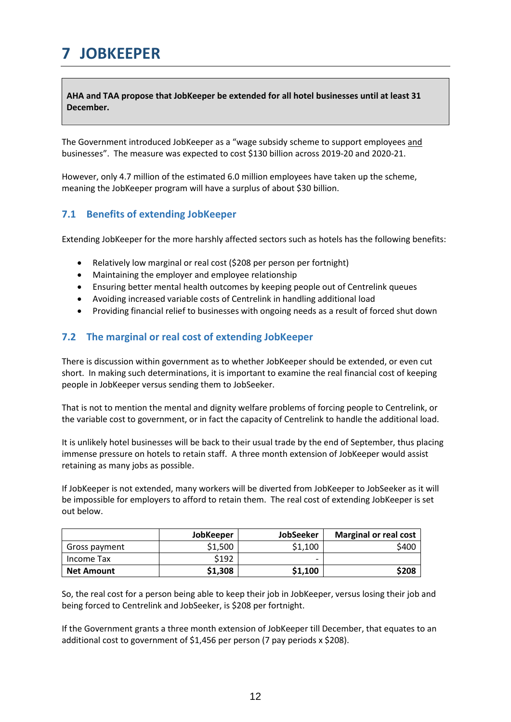## <span id="page-11-0"></span>**7 JOBKEEPER**

**AHA and TAA propose that JobKeeper be extended for all hotel businesses until at least 31 December.**

The Government introduced JobKeeper as a "wage subsidy scheme to support employees and businesses". The measure was expected to cost \$130 billion across 2019-20 and 2020-21.

However, only 4.7 million of the estimated 6.0 million employees have taken up the scheme, meaning the JobKeeper program will have a surplus of about \$30 billion.

#### <span id="page-11-1"></span>**7.1 Benefits of extending JobKeeper**

Extending JobKeeper for the more harshly affected sectors such as hotels has the following benefits:

- Relatively low marginal or real cost (\$208 per person per fortnight)
- Maintaining the employer and employee relationship
- Ensuring better mental health outcomes by keeping people out of Centrelink queues
- Avoiding increased variable costs of Centrelink in handling additional load
- Providing financial relief to businesses with ongoing needs as a result of forced shut down

#### <span id="page-11-2"></span>**7.2 The marginal or real cost of extending JobKeeper**

There is discussion within government as to whether JobKeeper should be extended, or even cut short. In making such determinations, it is important to examine the real financial cost of keeping people in JobKeeper versus sending them to JobSeeker.

That is not to mention the mental and dignity welfare problems of forcing people to Centrelink, or the variable cost to government, or in fact the capacity of Centrelink to handle the additional load.

It is unlikely hotel businesses will be back to their usual trade by the end of September, thus placing immense pressure on hotels to retain staff. A three month extension of JobKeeper would assist retaining as many jobs as possible.

If JobKeeper is not extended, many workers will be diverted from JobKeeper to JobSeeker as it will be impossible for employers to afford to retain them. The real cost of extending JobKeeper is set out below.

|                   | <b>JobKeeper</b> | <b>JobSeeker</b> | <b>Marginal or real cost</b> |
|-------------------|------------------|------------------|------------------------------|
| Gross payment     | \$1.500          | \$1,100          | \$400                        |
| Income Tax        | \$192            | -                |                              |
| <b>Net Amount</b> | \$1,308          | \$1,100          | \$208                        |

So, the real cost for a person being able to keep their job in JobKeeper, versus losing their job and being forced to Centrelink and JobSeeker, is \$208 per fortnight.

If the Government grants a three month extension of JobKeeper till December, that equates to an additional cost to government of \$1,456 per person (7 pay periods x \$208).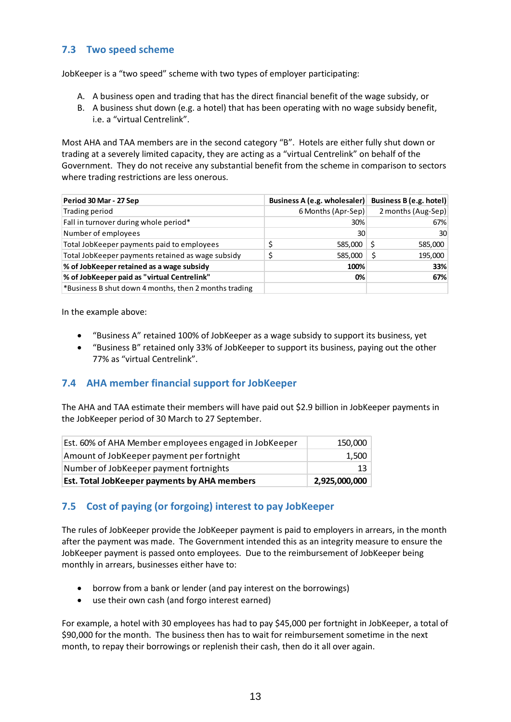#### <span id="page-12-0"></span>**7.3 Two speed scheme**

JobKeeper is a "two speed" scheme with two types of employer participating:

- A. A business open and trading that has the direct financial benefit of the wage subsidy, or
- B. A business shut down (e.g. a hotel) that has been operating with no wage subsidy benefit, i.e. a "virtual Centrelink".

Most AHA and TAA members are in the second category "B". Hotels are either fully shut down or trading at a severely limited capacity, they are acting as a "virtual Centrelink" on behalf of the Government. They do not receive any substantial benefit from the scheme in comparison to sectors where trading restrictions are less onerous.

| Period 30 Mar - 27 Sep                                | Business A (e.g. wholesaler) Business B (e.g. hotel) |                    |
|-------------------------------------------------------|------------------------------------------------------|--------------------|
| Trading period                                        | 6 Months (Apr-Sep)                                   | 2 months (Aug-Sep) |
| Fall in turnover during whole period*                 | 30%                                                  | 67%                |
| Number of employees                                   | 30                                                   | 30                 |
| Total JobKeeper payments paid to employees            | 585,000                                              | 585,000            |
| Total JobKeeper payments retained as wage subsidy     | 585,000                                              | 195,000            |
| % of JobKeeper retained as a wage subsidy             | 100%                                                 | 33%                |
| % of JobKeeper paid as "virtual Centrelink"           | 0%                                                   | 67%                |
| *Business B shut down 4 months, then 2 months trading |                                                      |                    |

In the example above:

- "Business A" retained 100% of JobKeeper as a wage subsidy to support its business, yet
- "Business B" retained only 33% of JobKeeper to support its business, paying out the other 77% as "virtual Centrelink".

#### <span id="page-12-1"></span>**7.4 AHA member financial support for JobKeeper**

The AHA and TAA estimate their members will have paid out \$2.9 billion in JobKeeper payments in the JobKeeper period of 30 March to 27 September.

| Est. 60% of AHA Member employees engaged in JobKeeper | 150,000       |
|-------------------------------------------------------|---------------|
| Amount of JobKeeper payment per fortnight             | 1.500         |
| Number of JobKeeper payment fortnights                | 13            |
| Est. Total JobKeeper payments by AHA members          | 2,925,000,000 |

#### <span id="page-12-2"></span>**7.5 Cost of paying (or forgoing) interest to pay JobKeeper**

The rules of JobKeeper provide the JobKeeper payment is paid to employers in arrears, in the month after the payment was made. The Government intended this as an integrity measure to ensure the JobKeeper payment is passed onto employees. Due to the reimbursement of JobKeeper being monthly in arrears, businesses either have to:

- borrow from a bank or lender (and pay interest on the borrowings)
- use their own cash (and forgo interest earned)

For example, a hotel with 30 employees has had to pay \$45,000 per fortnight in JobKeeper, a total of \$90,000 for the month. The business then has to wait for reimbursement sometime in the next month, to repay their borrowings or replenish their cash, then do it all over again.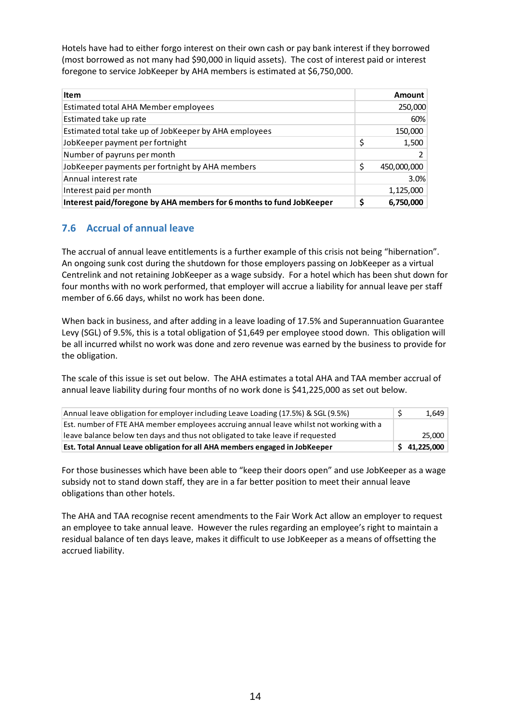Hotels have had to either forgo interest on their own cash or pay bank interest if they borrowed (most borrowed as not many had \$90,000 in liquid assets). The cost of interest paid or interest foregone to service JobKeeper by AHA members is estimated at \$6,750,000.

| <b>Item</b>                                                          |    | Amount      |
|----------------------------------------------------------------------|----|-------------|
| Estimated total AHA Member employees                                 |    | 250,000     |
| Estimated take up rate                                               |    | 60%         |
| Estimated total take up of JobKeeper by AHA employees                |    | 150,000     |
| JobKeeper payment per fortnight                                      | \$ | 1,500       |
| Number of payruns per month                                          |    |             |
| JobKeeper payments per fortnight by AHA members                      | \$ | 450,000,000 |
| Annual interest rate                                                 |    | 3.0%        |
| Interest paid per month                                              |    | 1,125,000   |
| Interest paid/foregone by AHA members for 6 months to fund JobKeeper | Ś  | 6,750,000   |

#### <span id="page-13-0"></span>**7.6 Accrual of annual leave**

The accrual of annual leave entitlements is a further example of this crisis not being "hibernation". An ongoing sunk cost during the shutdown for those employers passing on JobKeeper as a virtual Centrelink and not retaining JobKeeper as a wage subsidy. For a hotel which has been shut down for four months with no work performed, that employer will accrue a liability for annual leave per staff member of 6.66 days, whilst no work has been done.

When back in business, and after adding in a leave loading of 17.5% and Superannuation Guarantee Levy (SGL) of 9.5%, this is a total obligation of \$1,649 per employee stood down. This obligation will be all incurred whilst no work was done and zero revenue was earned by the business to provide for the obligation.

The scale of this issue is set out below. The AHA estimates a total AHA and TAA member accrual of annual leave liability during four months of no work done is \$41,225,000 as set out below.

| Annual leave obligation for employer including Leave Loading (17.5%) & SGL (9.5%)       | 1,649        |
|-----------------------------------------------------------------------------------------|--------------|
| Est. number of FTE AHA member employees accruing annual leave whilst not working with a |              |
| leave balance below ten days and thus not obligated to take leave if requested          | 25.000       |
| Est. Total Annual Leave obligation for all AHA members engaged in JobKeeper             | \$41,225,000 |

For those businesses which have been able to "keep their doors open" and use JobKeeper as a wage subsidy not to stand down staff, they are in a far better position to meet their annual leave obligations than other hotels.

The AHA and TAA recognise recent amendments to the Fair Work Act allow an employer to request an employee to take annual leave. However the rules regarding an employee's right to maintain a residual balance of ten days leave, makes it difficult to use JobKeeper as a means of offsetting the accrued liability.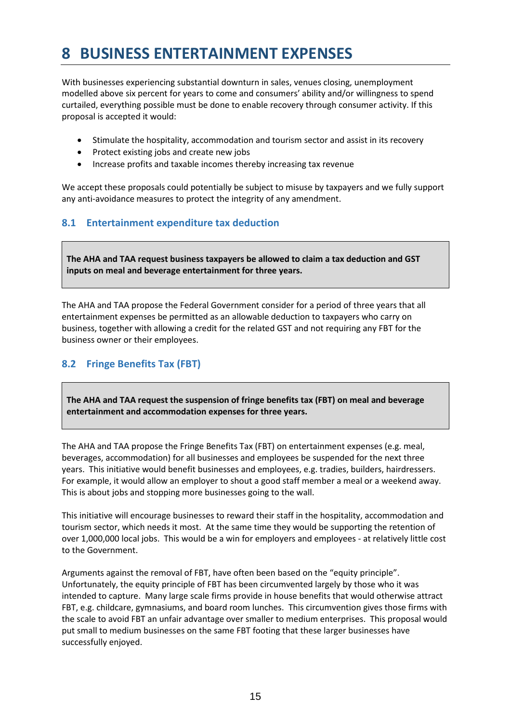## <span id="page-14-0"></span>**8 BUSINESS ENTERTAINMENT EXPENSES**

With businesses experiencing substantial downturn in sales, venues closing, unemployment modelled above six percent for years to come and consumers' ability and/or willingness to spend curtailed, everything possible must be done to enable recovery through consumer activity. If this proposal is accepted it would:

- Stimulate the hospitality, accommodation and tourism sector and assist in its recovery
- Protect existing jobs and create new jobs
- Increase profits and taxable incomes thereby increasing tax revenue

We accept these proposals could potentially be subject to misuse by taxpayers and we fully support any anti-avoidance measures to protect the integrity of any amendment.

#### <span id="page-14-1"></span>**8.1 Entertainment expenditure tax deduction**

**The AHA and TAA request business taxpayers be allowed to claim a tax deduction and GST inputs on meal and beverage entertainment for three years.**

The AHA and TAA propose the Federal Government consider for a period of three years that all entertainment expenses be permitted as an allowable deduction to taxpayers who carry on business, together with allowing a credit for the related GST and not requiring any FBT for the business owner or their employees.

#### <span id="page-14-2"></span>**8.2 Fringe Benefits Tax (FBT)**

**The AHA and TAA request the suspension of fringe benefits tax (FBT) on meal and beverage entertainment and accommodation expenses for three years.**

The AHA and TAA propose the Fringe Benefits Tax (FBT) on entertainment expenses (e.g. meal, beverages, accommodation) for all businesses and employees be suspended for the next three years. This initiative would benefit businesses and employees, e.g. tradies, builders, hairdressers. For example, it would allow an employer to shout a good staff member a meal or a weekend away. This is about jobs and stopping more businesses going to the wall.

This initiative will encourage businesses to reward their staff in the hospitality, accommodation and tourism sector, which needs it most. At the same time they would be supporting the retention of over 1,000,000 local jobs. This would be a win for employers and employees - at relatively little cost to the Government.

Arguments against the removal of FBT, have often been based on the "equity principle". Unfortunately, the equity principle of FBT has been circumvented largely by those who it was intended to capture. Many large scale firms provide in house benefits that would otherwise attract FBT, e.g. childcare, gymnasiums, and board room lunches. This circumvention gives those firms with the scale to avoid FBT an unfair advantage over smaller to medium enterprises. This proposal would put small to medium businesses on the same FBT footing that these larger businesses have successfully enjoyed.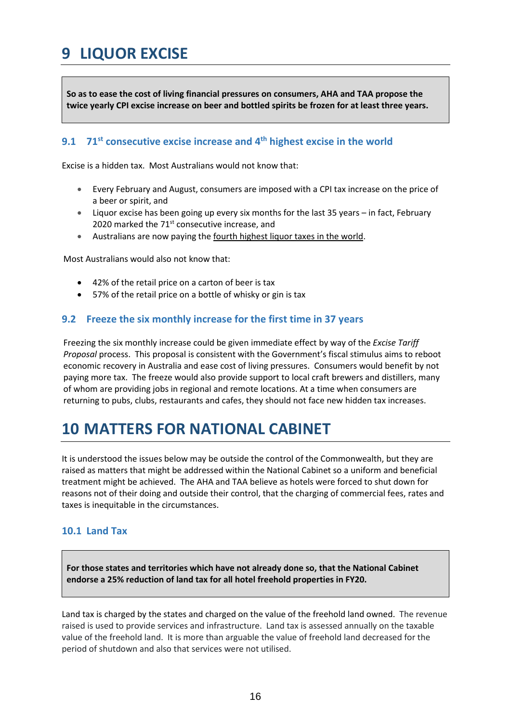## <span id="page-15-0"></span>**9 LIQUOR EXCISE**

**So as to ease the cost of living financial pressures on consumers, AHA and TAA propose the twice yearly CPI excise increase on beer and bottled spirits be frozen for at least three years.**

#### <span id="page-15-1"></span>**9.1 71st consecutive excise increase and 4th highest excise in the world**

Excise is a hidden tax. Most Australians would not know that:

- Every February and August, consumers are imposed with a CPI tax increase on the price of a beer or spirit, and
- Liquor excise has been going up every six months for the last 35 years in fact, February 2020 marked the 71<sup>st</sup> consecutive increase, and
- Australians are now paying the fourth highest liquor taxes in the world.

Most Australians would also not know that:

- 42% of the retail price on a carton of beer is tax
- 57% of the retail price on a bottle of whisky or gin is tax

#### <span id="page-15-2"></span>**9.2 Freeze the six monthly increase for the first time in 37 years**

Freezing the six monthly increase could be given immediate effect by way of the *Excise Tariff Proposal* process. This proposal is consistent with the Government's fiscal stimulus aims to reboot economic recovery in Australia and ease cost of living pressures. Consumers would benefit by not paying more tax. The freeze would also provide support to local craft brewers and distillers, many of whom are providing jobs in regional and remote locations. At a time when consumers are returning to pubs, clubs, restaurants and cafes, they should not face new hidden tax increases.

### <span id="page-15-3"></span>**10 MATTERS FOR NATIONAL CABINET**

It is understood the issues below may be outside the control of the Commonwealth, but they are raised as matters that might be addressed within the National Cabinet so a uniform and beneficial treatment might be achieved. The AHA and TAA believe as hotels were forced to shut down for reasons not of their doing and outside their control, that the charging of commercial fees, rates and taxes is inequitable in the circumstances.

#### <span id="page-15-4"></span>**10.1 Land Tax**

**For those states and territories which have not already done so, that the National Cabinet endorse a 25% reduction of land tax for all hotel freehold properties in FY20.** 

Land tax is charged by the states and charged on the value of the freehold land owned. The revenue raised is used to provide services and infrastructure. Land tax is assessed annually on the taxable value of the freehold land. It is more than arguable the value of freehold land decreased for the period of shutdown and also that services were not utilised.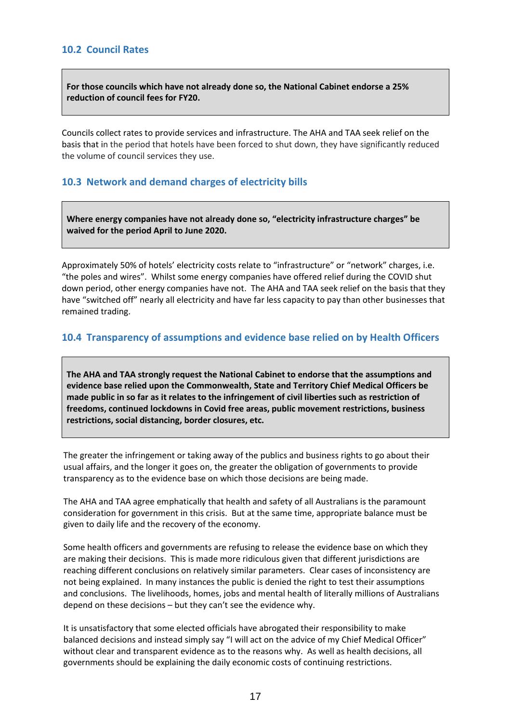<span id="page-16-0"></span>**For those councils which have not already done so, the National Cabinet endorse a 25% reduction of council fees for FY20.**

Councils collect rates to provide services and infrastructure. The AHA and TAA seek relief on the basis that in the period that hotels have been forced to shut down, they have significantly reduced the volume of council services they use.

#### <span id="page-16-1"></span>**10.3 Network and demand charges of electricity bills**

**Where energy companies have not already done so, "electricity infrastructure charges" be waived for the period April to June 2020.**

Approximately 50% of hotels' electricity costs relate to "infrastructure" or "network" charges, i.e. "the poles and wires". Whilst some energy companies have offered relief during the COVID shut down period, other energy companies have not. The AHA and TAA seek relief on the basis that they have "switched off" nearly all electricity and have far less capacity to pay than other businesses that remained trading.

#### <span id="page-16-2"></span>**10.4 Transparency of assumptions and evidence base relied on by Health Officers**

**The AHA and TAA strongly request the National Cabinet to endorse that the assumptions and evidence base relied upon the Commonwealth, State and Territory Chief Medical Officers be made public in so far as it relates to the infringement of civil liberties such as restriction of freedoms, continued lockdowns in Covid free areas, public movement restrictions, business restrictions, social distancing, border closures, etc.**

The greater the infringement or taking away of the publics and business rights to go about their usual affairs, and the longer it goes on, the greater the obligation of governments to provide transparency as to the evidence base on which those decisions are being made.

The AHA and TAA agree emphatically that health and safety of all Australians is the paramount consideration for government in this crisis. But at the same time, appropriate balance must be given to daily life and the recovery of the economy.

Some health officers and governments are refusing to release the evidence base on which they are making their decisions. This is made more ridiculous given that different jurisdictions are reaching different conclusions on relatively similar parameters. Clear cases of inconsistency are not being explained. In many instances the public is denied the right to test their assumptions and conclusions. The livelihoods, homes, jobs and mental health of literally millions of Australians depend on these decisions – but they can't see the evidence why.

It is unsatisfactory that some elected officials have abrogated their responsibility to make balanced decisions and instead simply say "I will act on the advice of my Chief Medical Officer" without clear and transparent evidence as to the reasons why. As well as health decisions, all governments should be explaining the daily economic costs of continuing restrictions.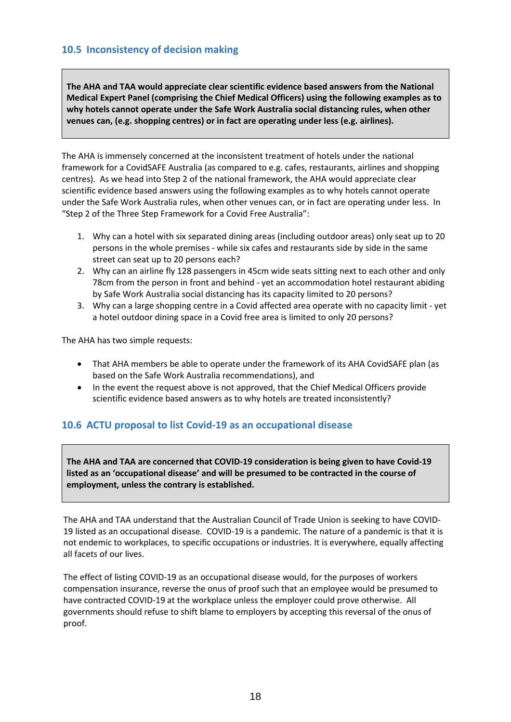#### <span id="page-17-0"></span>**10.5 Inconsistency of decision making**

**The AHA and TAA would appreciate clear scientific evidence based answers from the National Medical Expert Panel (comprising the Chief Medical Officers) using the following examples as to why hotels cannot operate under the Safe Work Australia social distancing rules, when other venues can, (e.g. shopping centres) or in fact are operating under less (e.g. airlines).** 

The AHA is immensely concerned at the inconsistent treatment of hotels under the national framework for a CovidSAFE Australia (as compared to e.g. cafes, restaurants, airlines and shopping centres). As we head into Step 2 of the national framework, the AHA would appreciate clear scientific evidence based answers using the following examples as to why hotels cannot operate under the Safe Work Australia rules, when other venues can, or in fact are operating under less. In "Step 2 of the Three Step Framework for a Covid Free Australia":

- 1. Why can a hotel with six separated dining areas (including outdoor areas) only seat up to 20 persons in the whole premises - while six cafes and restaurants side by side in the same street can seat up to 20 persons each?
- 2. Why can an airline fly 128 passengers in 45cm wide seats sitting next to each other and only 78cm from the person in front and behind - yet an accommodation hotel restaurant abiding by Safe Work Australia social distancing has its capacity limited to 20 persons?
- 3. Why can a large shopping centre in a Covid affected area operate with no capacity limit yet a hotel outdoor dining space in a Covid free area is limited to only 20 persons?

The AHA has two simple requests:

- That AHA members be able to operate under the framework of its AHA CovidSAFE plan (as based on the Safe Work Australia recommendations), and
- In the event the request above is not approved, that the Chief Medical Officers provide scientific evidence based answers as to why hotels are treated inconsistently?

#### <span id="page-17-1"></span>**10.6 ACTU proposal to list Covid-19 as an occupational disease**

**The AHA and TAA are concerned that COVID-19 consideration is being given to have Covid-19 listed as an 'occupational disease' and will be presumed to be contracted in the course of employment, unless the contrary is established.**

The AHA and TAA understand that the Australian Council of Trade Union is seeking to have COVID-19 listed as an occupational disease. COVID-19 is a pandemic. The nature of a pandemic is that it is not endemic to workplaces, to specific occupations or industries. It is everywhere, equally affecting all facets of our lives.

The effect of listing COVID-19 as an occupational disease would, for the purposes of workers compensation insurance, reverse the onus of proof such that an employee would be presumed to have contracted COVID-19 at the workplace unless the employer could prove otherwise. All governments should refuse to shift blame to employers by accepting this reversal of the onus of proof.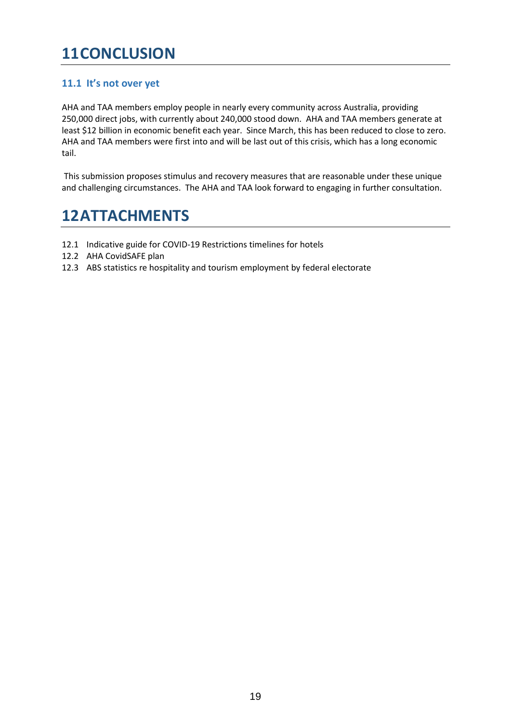## <span id="page-18-0"></span>**11CONCLUSION**

#### <span id="page-18-1"></span>**11.1 It's not over yet**

AHA and TAA members employ people in nearly every community across Australia, providing 250,000 direct jobs, with currently about 240,000 stood down. AHA and TAA members generate at least \$12 billion in economic benefit each year. Since March, this has been reduced to close to zero. AHA and TAA members were first into and will be last out of this crisis, which has a long economic tail.

This submission proposes stimulus and recovery measures that are reasonable under these unique and challenging circumstances. The AHA and TAA look forward to engaging in further consultation.

## <span id="page-18-2"></span>**12ATTACHMENTS**

- <span id="page-18-3"></span>12.1 Indicative guide for COVID-19 Restrictions timelines for hotels
- <span id="page-18-4"></span>12.2 AHA CovidSAFE plan
- <span id="page-18-5"></span>12.3 ABS statistics re hospitality and tourism employment by federal electorate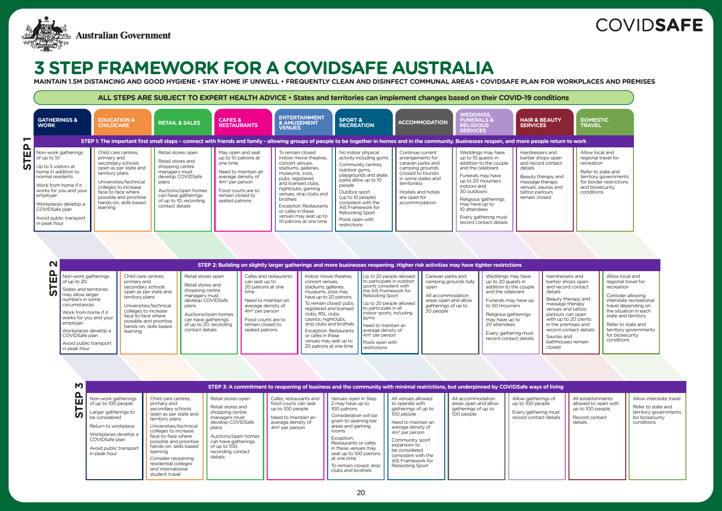All establishments allowed to open with up to 100 people

Record contact details

Allow interstate travel

Refer to state and territory governments for biosecurity conditions



|                                                                                                                                                                                                                                                                        |                                                                                                                                                                                                                                              |                                                                                                                                                                                                      |                                                                                                                                                                                                   |                                                                                                                                                                                                                                                                                                                                                         | STEP 2: Building on slightly larger gatherings and more businesses reopening. Higher risk activities may have tighter restrictions                                                                                                                                                                                             |                                                                                                                                     |                                                                                                                                                                                                                                              |
|------------------------------------------------------------------------------------------------------------------------------------------------------------------------------------------------------------------------------------------------------------------------|----------------------------------------------------------------------------------------------------------------------------------------------------------------------------------------------------------------------------------------------|------------------------------------------------------------------------------------------------------------------------------------------------------------------------------------------------------|---------------------------------------------------------------------------------------------------------------------------------------------------------------------------------------------------|---------------------------------------------------------------------------------------------------------------------------------------------------------------------------------------------------------------------------------------------------------------------------------------------------------------------------------------------------------|--------------------------------------------------------------------------------------------------------------------------------------------------------------------------------------------------------------------------------------------------------------------------------------------------------------------------------|-------------------------------------------------------------------------------------------------------------------------------------|----------------------------------------------------------------------------------------------------------------------------------------------------------------------------------------------------------------------------------------------|
| Non-work gatherings<br>of up to 20<br>States and territories<br>may allow larger<br>numbers in some<br>circumstances<br>Work from home if it<br>works for you and your<br>employer<br>Workplaces develop a<br>COVIDSafe plan<br>Avoid public transport<br>in peak hour | Child care centres.<br>primary and<br>secondary schools<br>open as per state and<br>territory plans<br>Universities/technical<br>colleges to increase<br>face-to-face where<br>possible and prioritise<br>hands-on, skills based<br>learning | Retail stores open<br>Retail stores and<br>shopping centre<br>managers must<br>develop COVIDSafe<br>plans<br>Auctions/open homes<br>can have gatherings<br>of up to 20, recording<br>contact details | Cafes and restaurants<br>can seat up to<br>20 patrons at one<br>time<br>Need to maintain an<br>average density of<br>$4m2$ per person<br>Food courts are to<br>remain closed to<br>seated patrons | Indoor movie theatres.<br>concert venues.<br>stadiums, galleries,<br>museums, zoos may<br>have up to 20 patrons<br>To remain closed: pubs,<br>registered and licensed<br>clubs. RSL clubs.<br>casinos, nightclubs,<br>strip clubs and brothels<br><b>Exception: Restaurants</b><br>or cafes in these<br>venues may seat up to<br>20 patrons at one time | Up to 20 people allowed<br>to participate in outdoor<br>sports consistent with<br>the AIS Framework for<br>Rebooting Sport<br>Up to 20 people allowed<br>to participate in all<br>indoor sports, including<br>gyms<br>Need to maintain an<br>average density of<br>$\sqrt{4m^2}$ per person<br>Pools open with<br>restrictions | Caravan parks and<br>camping grounds fully<br>open<br>All accommodation<br>areas open and allow<br>gatherings of up to<br>20 people | Weddings may have<br>up to 20 guests in<br>addition to the couple<br>and the celebrant<br>Funerals may have up<br>to 50 mourners<br>Religious gatherings<br>may have up to<br>20 attendees<br>Every gathering must<br>record contact details |

|                                                                                                                                                                                                                                                                  | ALL STEPS ARE SUBJECT TO EXPERT HEALTH ADVICE • States and territories can implement changes based on their COVID-19 conditions                                                                                                              |                                                                                                                                                                                                      |                                                                                                                                                                                   |                                                                                                                                                                                                                                                                                                                           |                                                                                                                                                                                                                                                                                                |                                                                                                                                                                                                  |                                                                                                                                                                                                                                                                            |                                                                                                                                                                           |                                                                                                                               |
|------------------------------------------------------------------------------------------------------------------------------------------------------------------------------------------------------------------------------------------------------------------|----------------------------------------------------------------------------------------------------------------------------------------------------------------------------------------------------------------------------------------------|------------------------------------------------------------------------------------------------------------------------------------------------------------------------------------------------------|-----------------------------------------------------------------------------------------------------------------------------------------------------------------------------------|---------------------------------------------------------------------------------------------------------------------------------------------------------------------------------------------------------------------------------------------------------------------------------------------------------------------------|------------------------------------------------------------------------------------------------------------------------------------------------------------------------------------------------------------------------------------------------------------------------------------------------|--------------------------------------------------------------------------------------------------------------------------------------------------------------------------------------------------|----------------------------------------------------------------------------------------------------------------------------------------------------------------------------------------------------------------------------------------------------------------------------|---------------------------------------------------------------------------------------------------------------------------------------------------------------------------|-------------------------------------------------------------------------------------------------------------------------------|
| <b>GATHERINGS &amp;</b><br><b>WORK</b>                                                                                                                                                                                                                           | <b>EDUCATION &amp;</b><br><b>CHILDCARE</b>                                                                                                                                                                                                   | <b>RETAIL &amp; SALES</b>                                                                                                                                                                            | <b>CAFES &amp;</b><br><b>RESTAURANTS</b>                                                                                                                                          | <b>ENTERTAINMENT</b><br><b>&amp; AMUSEMENT</b><br><b>VENUES</b>                                                                                                                                                                                                                                                           | <b>SPORT &amp;</b><br><b>RECREATION</b>                                                                                                                                                                                                                                                        | <b>ACCOMMODATION</b>                                                                                                                                                                             | <b>WEDDINGS,</b><br><b>FUNERALS &amp;</b><br><b>RELIGIOUS</b><br><b>SERVICES</b>                                                                                                                                                                                           | <b>HAIR &amp; BEAUTY</b><br><b>SERVICES</b>                                                                                                                               | <b>DOMESTIC</b><br><b>TRAVEL</b>                                                                                              |
|                                                                                                                                                                                                                                                                  |                                                                                                                                                                                                                                              |                                                                                                                                                                                                      |                                                                                                                                                                                   | STEP 1: The important first small steps - connect with friends and family - allowing groups of people to be together in homes and in the community. Businesses reopen, and more people return to work                                                                                                                     |                                                                                                                                                                                                                                                                                                |                                                                                                                                                                                                  |                                                                                                                                                                                                                                                                            |                                                                                                                                                                           |                                                                                                                               |
| Non-work gatherings<br>of up to 10<br>$\bigcap$ Up to 5 visitors at<br>home in addition to<br>normal residents<br>Work from home if it<br>works for you and your<br>employer<br>Workplaces develop a<br>COVIDSafe plan<br>Avoid public transport<br>in peak hour | Child care centres.<br>primary and<br>secondary schools<br>open as per state and<br>territory plans<br>Universities/technical<br>colleges to increase<br>face-to-face where<br>possible and prioritise<br>hands-on, skills based<br>learning | Retail stores open<br>Retail stores and<br>shopping centre<br>managers must<br>develop COVIDSafe<br>plans<br>Auctions/open homes<br>can have gatherings<br>of up to 10, recording<br>contact details | May open and seat<br>up to 10 patrons at<br>one time<br>Need to maintain an<br>average density of<br>$4m2$ per person<br>Food courts are to<br>remain closed to<br>seated patrons | To remain closed:<br>Indoor movie theatres.<br>concert venues,<br>stadiums, galleries,<br>museums, zoos,<br>pubs, registered<br>and licensed clubs.<br>nightclubs, gaming<br>venues, strip clubs and<br>brothels<br><b>Exception: Restaurants</b><br>or cafes in these<br>venues may seat up to<br>10 patrons at one time | No indoor physical<br>activity including gyms<br>Community centres,<br>outdoor gyms,<br>playgrounds and skate<br>parks allow up to 10<br>people<br>Outdoor sport<br>(up to 10 people)<br>consistent with the<br>AIS Framework for<br><b>Rebooting Sport</b><br>Pools open with<br>restrictions | Continue current<br>arrangements for<br>caravan parks and<br>camping grounds<br>(closed to tourists<br>in some states and<br>territories)<br>Hostels and hotels<br>are open for<br>accommodation | Weddings may have<br>up to 10 guests in<br>addition to the couple<br>and the celebrant<br>Funerals may have<br>up to 20 mourners<br>indoors and<br>30 outdoors<br>Religious gatherings<br>may have up to<br>10 attendees<br>Every gathering must<br>record contact details | Hairdressers and<br>barber shops open<br>and record contact<br>details<br>Beauty therapy and<br>massage therapy<br>venues, saunas and<br>tattoo parlours<br>remain closed | Allow local a<br>regional trav<br>recreation<br>Refer to state<br>territory gov<br>for border re<br>and biosecu<br>conditions |

| $\mathsf{M}$       |                                                                                                                                                                                                |                                                                                                                                                                                                                                                                                                                                   |                                                                                                                                                                                                          |                                                                                                                                     | STEP 3: A commitment to reopening of business and the community with minimal restrictions, but underpinned by COVIDSafe ways of living                                                                                                                                                      |                                                                                                                                                                                                                                                                |                                                                                |                                                                                           |
|--------------------|------------------------------------------------------------------------------------------------------------------------------------------------------------------------------------------------|-----------------------------------------------------------------------------------------------------------------------------------------------------------------------------------------------------------------------------------------------------------------------------------------------------------------------------------|----------------------------------------------------------------------------------------------------------------------------------------------------------------------------------------------------------|-------------------------------------------------------------------------------------------------------------------------------------|---------------------------------------------------------------------------------------------------------------------------------------------------------------------------------------------------------------------------------------------------------------------------------------------|----------------------------------------------------------------------------------------------------------------------------------------------------------------------------------------------------------------------------------------------------------------|--------------------------------------------------------------------------------|-------------------------------------------------------------------------------------------|
| Δ<br>Ш<br><u>ნ</u> | Non-work gatherings<br>of up to 100 people<br>Larger gatherings to<br>be considered<br>Return to workplace<br>Workplaces develop a<br>COVIDSafe plan<br>Avoid public transport<br>in peak hour | Child care centres.<br>primary and<br>secondary schools<br>open as per state and<br>territory plans<br>Universities/technical<br>colleges to increase<br>face-to-face where<br>possible and prioritise<br>hands-on, skills based<br>learning<br>Consider reopening<br>residential colleges<br>and international<br>student travel | Retail stores open<br>Retail stores and<br>shopping centre<br>managers must<br>develop COVIDSafe<br>plans<br>Auctions/open homes<br>can have gatherings<br>of up to 100.<br>recording contact<br>details | Cafes, restaurants and<br>food courts can seat<br>up to 100 people<br>Need to maintain an<br>average density of<br>$4m2$ per person | Venues open in Step<br>2 may have up to<br>100 patrons<br>Consideration will be<br>given to opening bar<br>areas and gaming<br>rooms<br>Exception:<br>Restaurants or cafes<br>in these venues may<br>seat up to 100 patrons<br>at one time<br>To remain closed: strip<br>clubs and brothels | All venues allowed<br>to operate with<br>gatherings of up to<br>100 people<br>Need to maintain an<br>average density of<br>$4m2$ per person<br>Community sport<br>expansion to<br>be considered<br>consistent with the<br>AIS Framework for<br>Rebooting Sport | All accommodation<br>areas open and allow<br>gatherings of up to<br>100 people | Allow gatherings of<br>up to 100 people<br>Every gathering must<br>record contact details |

- Hairdressers and barber shops open and record contact details
- Beauty therapy and massage therapy venues and tattoo parlours can open with up to 20 clients in the premises and record contact details
- Saunas and bathhouses remain closed

Allow local and regional travel for recreation

Consider allowing interstate recreational travel depending on the situation in each state and territory

Refer to state and territory governments for biosecurity conditions



# **3 STEP FRAMEWORK FOR A COVIDSAFE AUSTRALIA**

**MAINTAIN 1.5M DISTANCING AND GOOD HYGIENE • STAY HOME IF UNWELL • FREQUENTLY CLEAN AND DISINFECT COMMUNAL AREAS • COVIDSAFE PLAN FOR WORKPLACES AND PREMISES**

# **COVIDSAFE**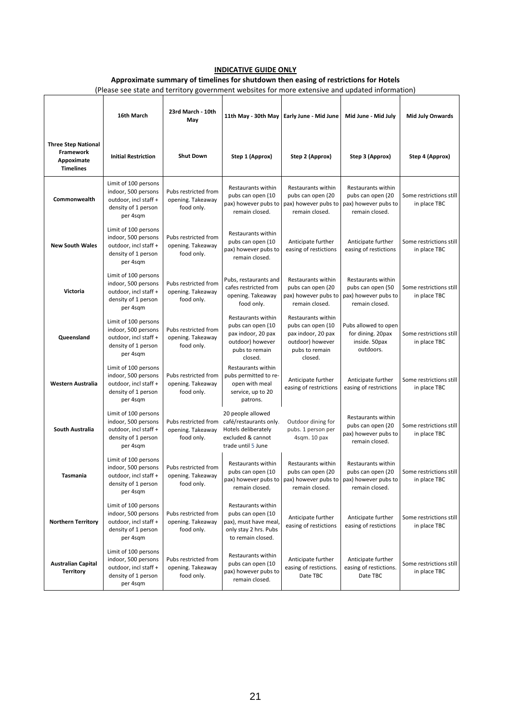#### **INDICATIVE GUIDE ONLY**

#### **Approximate summary of timelines for shutdown then easing of restrictions for Hotels**

(Please see state and territory government websites for more extensive and updated information)

|                                                                           | 16th March                                                                                              | 23rd March - 10th<br>May                                | 11th May - 30th May                                                                                            | Early June - Mid June                                                                                                           | Mid June - Mid July                                                                      | <b>Mid July Onwards</b>                 |
|---------------------------------------------------------------------------|---------------------------------------------------------------------------------------------------------|---------------------------------------------------------|----------------------------------------------------------------------------------------------------------------|---------------------------------------------------------------------------------------------------------------------------------|------------------------------------------------------------------------------------------|-----------------------------------------|
| <b>Three Step National</b><br>Framework<br>Appoximate<br><b>Timelines</b> | <b>Initial Restriction</b>                                                                              | <b>Shut Down</b>                                        | Step 1 (Approx)                                                                                                | Step 2 (Approx)                                                                                                                 | Step 3 (Approx)                                                                          | Step 4 (Approx)                         |
| Commonwealth                                                              | Limit of 100 persons<br>indoor, 500 persons<br>outdoor, incl staff +<br>density of 1 person<br>per 4sqm | Pubs restricted from<br>opening. Takeaway<br>food only. | Restaurants within<br>pubs can open (10<br>pax) however pubs to<br>remain closed.                              | Restaurants within<br>pubs can open (20<br>pax) however pubs to<br>remain closed.                                               | <b>Restaurants within</b><br>pubs can open (20<br>pax) however pubs to<br>remain closed. | Some restrictions still<br>in place TBC |
| <b>New South Wales</b>                                                    | Limit of 100 persons<br>indoor, 500 persons<br>outdoor, incl staff +<br>density of 1 person<br>per 4sqm | Pubs restricted from<br>opening. Takeaway<br>food only. | Restaurants within<br>pubs can open (10<br>pax) however pubs to<br>remain closed.                              | Anticipate further<br>easing of restictions                                                                                     | Anticipate further<br>easing of restictions                                              | Some restrictions still<br>in place TBC |
| Victoria                                                                  | Limit of 100 persons<br>indoor, 500 persons<br>outdoor, incl staff +<br>density of 1 person<br>per 4sqm | Pubs restricted from<br>opening. Takeaway<br>food only. | Pubs, restaurants and<br>cafes restricted from<br>opening. Takeaway<br>food only.                              | Restaurants within<br>pubs can open (20<br>pax) however pubs to<br>remain closed.                                               | Restaurants within<br>pubs can open (50<br>pax) however pubs to<br>remain closed.        | Some restrictions still<br>in place TBC |
| Queensland                                                                | Limit of 100 persons<br>indoor, 500 persons<br>outdoor, incl staff +<br>density of 1 person<br>per 4sqm | Pubs restricted from<br>opening. Takeaway<br>food only. | Restaurants within<br>pubs can open (10<br>pax indoor, 20 pax<br>outdoor) however<br>pubs to remain<br>closed. | Restaurants within<br>pubs can open (10<br>pax indoor, 20 pax<br>outdoor) however<br>pubs to remain<br>closed.                  | Pubs allowed to open<br>for dining. 20pax<br>inside. 50pax<br>outdoors.                  | Some restrictions still<br>in place TBC |
| Western Australia                                                         | Limit of 100 persons<br>indoor, 500 persons<br>outdoor, incl staff +<br>density of 1 person<br>per 4sqm | Pubs restricted from<br>opening. Takeaway<br>food only. | Restaurants within<br>pubs permitted to re-<br>open with meal<br>service, up to 20<br>patrons.                 | Anticipate further<br>easing of restrictions                                                                                    | Anticipate further<br>easing of restrictions                                             | Some restrictions still<br>in place TBC |
| South Australia                                                           | Limit of 100 persons<br>indoor, 500 persons<br>outdoor, incl staff +<br>density of 1 person<br>per 4sqm | Pubs restricted from<br>opening. Takeaway<br>food only. | 20 people allowed<br>café/restaurants only.<br>Hotels deliberately<br>excluded & cannot<br>trade until 5 June  | Outdoor dining for<br>pubs. 1 person per<br>4sqm. 10 pax                                                                        | Restaurants within<br>pubs can open (20<br>pax) however pubs to<br>remain closed.        | Some restrictions still<br>in place TBC |
| Tasmania                                                                  | Limit of 100 persons<br>indoor, 500 persons<br>outdoor, incl staff +<br>density of 1 person<br>per 4sqm | Pubs restricted from<br>opening. Takeaway<br>food only. | Restaurants within<br>pubs can open (10<br>remain closed.                                                      | Restaurants within<br>pubs can open (20<br>pax) however pubs to   pax) however pubs to   pax) however pubs to<br>remain closed. | Restaurants within<br>pubs can open (20<br>remain closed.                                | Some restrictions still<br>in place TBC |
| <b>Northern Territory</b>                                                 | Limit of 100 persons<br>indoor, 500 persons<br>outdoor, incl staff +<br>density of 1 person<br>per 4sqm | Pubs restricted from<br>opening. Takeaway<br>food only. | Restaurants within<br>pubs can open (10<br>pax), must have meal,<br>only stay 2 hrs. Pubs<br>to remain closed. | Anticipate further<br>easing of restictions                                                                                     | Anticipate further<br>easing of restictions                                              | Some restrictions still<br>in place TBC |
| <b>Australian Capital</b><br><b>Territory</b>                             | Limit of 100 persons<br>indoor, 500 persons<br>outdoor, incl staff +<br>density of 1 person<br>per 4sqm | Pubs restricted from<br>opening. Takeaway<br>food only. | Restaurants within<br>pubs can open (10<br>pax) however pubs to<br>remain closed.                              | Anticipate further<br>easing of restictions.<br>Date TBC                                                                        | Anticipate further<br>easing of restictions.<br>Date TBC                                 | Some restrictions still<br>in place TBC |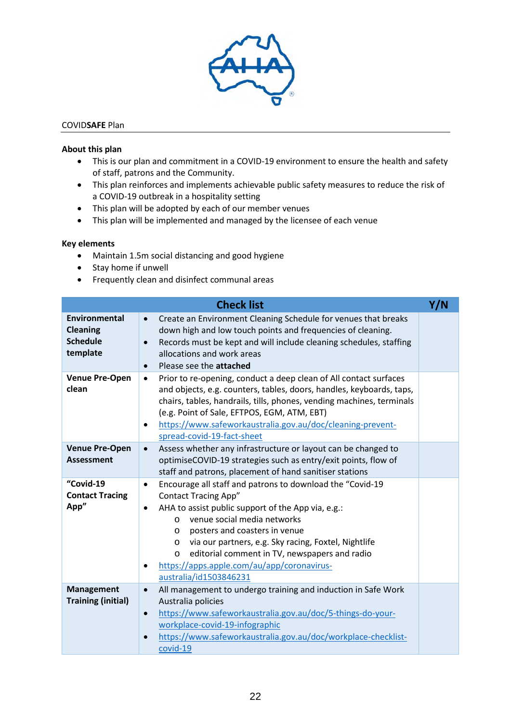

#### COVID**SAFE** Plan

#### **About this plan**

- This is our plan and commitment in a COVID-19 environment to ensure the health and safety of staff, patrons and the Community.
- This plan reinforces and implements achievable public safety measures to reduce the risk of a COVID-19 outbreak in a hospitality setting
- This plan will be adopted by each of our member venues
- This plan will be implemented and managed by the licensee of each venue

#### **Key elements**

- Maintain 1.5m social distancing and good hygiene
- Stay home if unwell
- Frequently clean and disinfect communal areas

|                                                                        | <b>Check list</b>                                                                                                                                                                                                                                                                                                                                                                                                                                                      | Y/N |
|------------------------------------------------------------------------|------------------------------------------------------------------------------------------------------------------------------------------------------------------------------------------------------------------------------------------------------------------------------------------------------------------------------------------------------------------------------------------------------------------------------------------------------------------------|-----|
| <b>Environmental</b><br><b>Cleaning</b><br><b>Schedule</b><br>template | Create an Environment Cleaning Schedule for venues that breaks<br>$\bullet$<br>down high and low touch points and frequencies of cleaning.<br>Records must be kept and will include cleaning schedules, staffing<br>$\bullet$<br>allocations and work areas<br>Please see the attached<br>$\bullet$                                                                                                                                                                    |     |
| <b>Venue Pre-Open</b><br>clean                                         | Prior to re-opening, conduct a deep clean of All contact surfaces<br>$\bullet$<br>and objects, e.g. counters, tables, doors, handles, keyboards, taps,<br>chairs, tables, handrails, tills, phones, vending machines, terminals<br>(e.g. Point of Sale, EFTPOS, EGM, ATM, EBT)<br>https://www.safeworkaustralia.gov.au/doc/cleaning-prevent-<br>$\bullet$<br>spread-covid-19-fact-sheet                                                                                |     |
| <b>Venue Pre-Open</b><br><b>Assessment</b>                             | Assess whether any infrastructure or layout can be changed to<br>$\bullet$<br>optimiseCOVID-19 strategies such as entry/exit points, flow of<br>staff and patrons, placement of hand sanitiser stations                                                                                                                                                                                                                                                                |     |
| "Covid-19<br><b>Contact Tracing</b><br>App"                            | Encourage all staff and patrons to download the "Covid-19<br>$\bullet$<br><b>Contact Tracing App"</b><br>AHA to assist public support of the App via, e.g.:<br>$\bullet$<br>venue social media networks<br>$\Omega$<br>posters and coasters in venue<br>$\circ$<br>via our partners, e.g. Sky racing, Foxtel, Nightlife<br>$\circ$<br>editorial comment in TV, newspapers and radio<br>$\circ$<br>https://apps.apple.com/au/app/coronavirus-<br>australia/id1503846231 |     |
| <b>Management</b><br><b>Training (initial)</b>                         | All management to undergo training and induction in Safe Work<br>$\bullet$<br>Australia policies<br>https://www.safeworkaustralia.gov.au/doc/5-things-do-your-<br>$\bullet$<br>workplace-covid-19-infographic<br>https://www.safeworkaustralia.gov.au/doc/workplace-checklist-<br>covid-19                                                                                                                                                                             |     |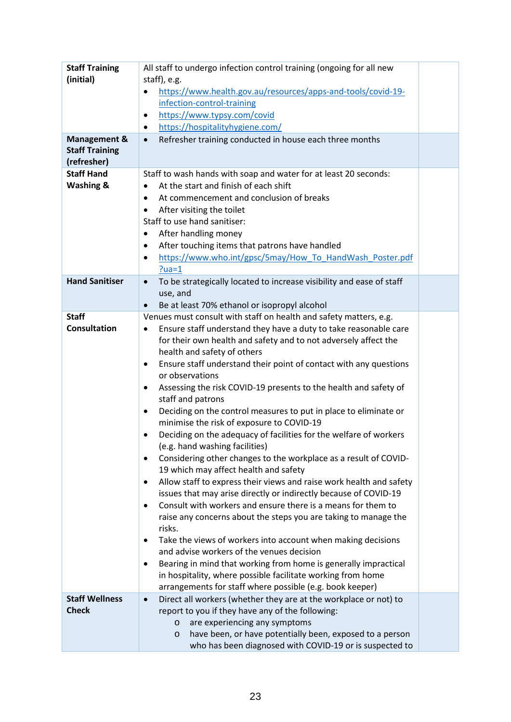| <b>Staff Training</b><br>(initial)<br><b>Management &amp;</b><br><b>Staff Training</b><br>(refresher) | All staff to undergo infection control training (ongoing for all new<br>staff), e.g.<br>https://www.health.gov.au/resources/apps-and-tools/covid-19-<br>infection-control-training<br>https://www.typsy.com/covid<br>$\bullet$<br>https://hospitalityhygiene.com/<br>٠<br>Refresher training conducted in house each three months<br>$\bullet$                                                                                                                                                                                                                                                                                                                                                                                                                                                                                                                                                                                                                                                                                                                                                                                                                                                                                                                                                                                                                                                           |  |
|-------------------------------------------------------------------------------------------------------|----------------------------------------------------------------------------------------------------------------------------------------------------------------------------------------------------------------------------------------------------------------------------------------------------------------------------------------------------------------------------------------------------------------------------------------------------------------------------------------------------------------------------------------------------------------------------------------------------------------------------------------------------------------------------------------------------------------------------------------------------------------------------------------------------------------------------------------------------------------------------------------------------------------------------------------------------------------------------------------------------------------------------------------------------------------------------------------------------------------------------------------------------------------------------------------------------------------------------------------------------------------------------------------------------------------------------------------------------------------------------------------------------------|--|
| <b>Staff Hand</b><br><b>Washing &amp;</b>                                                             | Staff to wash hands with soap and water for at least 20 seconds:<br>At the start and finish of each shift<br>$\bullet$<br>At commencement and conclusion of breaks<br>$\bullet$<br>After visiting the toilet<br>Staff to use hand sanitiser:<br>After handling money<br>$\bullet$<br>After touching items that patrons have handled<br>٠<br>https://www.who.int/gpsc/5may/How To HandWash Poster.pdf<br>٠<br>$?ua=1$                                                                                                                                                                                                                                                                                                                                                                                                                                                                                                                                                                                                                                                                                                                                                                                                                                                                                                                                                                                     |  |
| <b>Hand Sanitiser</b>                                                                                 | To be strategically located to increase visibility and ease of staff<br>$\bullet$<br>use, and<br>Be at least 70% ethanol or isopropyl alcohol<br>$\bullet$                                                                                                                                                                                                                                                                                                                                                                                                                                                                                                                                                                                                                                                                                                                                                                                                                                                                                                                                                                                                                                                                                                                                                                                                                                               |  |
| <b>Staff</b><br><b>Consultation</b>                                                                   | Venues must consult with staff on health and safety matters, e.g.<br>Ensure staff understand they have a duty to take reasonable care<br>for their own health and safety and to not adversely affect the<br>health and safety of others<br>Ensure staff understand their point of contact with any questions<br>٠<br>or observations<br>Assessing the risk COVID-19 presents to the health and safety of<br>٠<br>staff and patrons<br>Deciding on the control measures to put in place to eliminate or<br>٠<br>minimise the risk of exposure to COVID-19<br>Deciding on the adequacy of facilities for the welfare of workers<br>٠<br>(e.g. hand washing facilities)<br>Considering other changes to the workplace as a result of COVID-<br>٠<br>19 which may affect health and safety<br>Allow staff to express their views and raise work health and safety<br>٠<br>issues that may arise directly or indirectly because of COVID-19<br>Consult with workers and ensure there is a means for them to<br>٠<br>raise any concerns about the steps you are taking to manage the<br>risks.<br>Take the views of workers into account when making decisions<br>and advise workers of the venues decision<br>Bearing in mind that working from home is generally impractical<br>٠<br>in hospitality, where possible facilitate working from home<br>arrangements for staff where possible (e.g. book keeper) |  |
| <b>Staff Wellness</b><br><b>Check</b>                                                                 | Direct all workers (whether they are at the workplace or not) to<br>$\bullet$<br>report to you if they have any of the following:<br>are experiencing any symptoms<br>$\circ$<br>have been, or have potentially been, exposed to a person<br>$\circ$<br>who has been diagnosed with COVID-19 or is suspected to                                                                                                                                                                                                                                                                                                                                                                                                                                                                                                                                                                                                                                                                                                                                                                                                                                                                                                                                                                                                                                                                                          |  |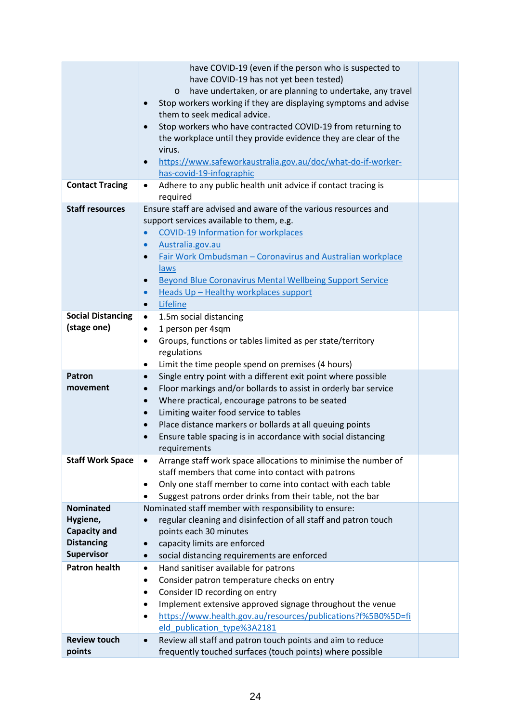|                          | have COVID-19 (even if the person who is suspected to                                                               |  |  |  |  |
|--------------------------|---------------------------------------------------------------------------------------------------------------------|--|--|--|--|
|                          | have COVID-19 has not yet been tested)                                                                              |  |  |  |  |
|                          | have undertaken, or are planning to undertake, any travel<br>$\circ$                                                |  |  |  |  |
|                          | Stop workers working if they are displaying symptoms and advise                                                     |  |  |  |  |
|                          | them to seek medical advice.                                                                                        |  |  |  |  |
|                          | Stop workers who have contracted COVID-19 from returning to<br>$\bullet$                                            |  |  |  |  |
|                          | the workplace until they provide evidence they are clear of the                                                     |  |  |  |  |
|                          | virus.                                                                                                              |  |  |  |  |
|                          | https://www.safeworkaustralia.gov.au/doc/what-do-if-worker-<br>$\bullet$<br>has-covid-19-infographic                |  |  |  |  |
| <b>Contact Tracing</b>   | Adhere to any public health unit advice if contact tracing is                                                       |  |  |  |  |
|                          | required                                                                                                            |  |  |  |  |
| <b>Staff resources</b>   | Ensure staff are advised and aware of the various resources and                                                     |  |  |  |  |
|                          | support services available to them, e.g.                                                                            |  |  |  |  |
|                          | <b>COVID-19 Information for workplaces</b>                                                                          |  |  |  |  |
|                          | Australia.gov.au<br>$\bullet$                                                                                       |  |  |  |  |
|                          | Fair Work Ombudsman - Coronavirus and Australian workplace<br>$\bullet$                                             |  |  |  |  |
|                          | laws                                                                                                                |  |  |  |  |
|                          | Beyond Blue Coronavirus Mental Wellbeing Support Service<br>$\bullet$                                               |  |  |  |  |
|                          | Heads Up - Healthy workplaces support<br>$\bullet$                                                                  |  |  |  |  |
|                          | Lifeline<br>$\bullet$                                                                                               |  |  |  |  |
| <b>Social Distancing</b> | 1.5m social distancing<br>$\bullet$                                                                                 |  |  |  |  |
| (stage one)              | 1 person per 4sqm<br>٠                                                                                              |  |  |  |  |
|                          | Groups, functions or tables limited as per state/territory<br>٠                                                     |  |  |  |  |
|                          | regulations                                                                                                         |  |  |  |  |
|                          | Limit the time people spend on premises (4 hours)<br>٠                                                              |  |  |  |  |
| Patron                   | Single entry point with a different exit point where possible<br>$\bullet$                                          |  |  |  |  |
| movement                 | Floor markings and/or bollards to assist in orderly bar service<br>$\bullet$                                        |  |  |  |  |
|                          | Where practical, encourage patrons to be seated<br>$\bullet$                                                        |  |  |  |  |
|                          | Limiting waiter food service to tables<br>$\bullet$                                                                 |  |  |  |  |
|                          | Place distance markers or bollards at all queuing points<br>$\bullet$                                               |  |  |  |  |
|                          | Ensure table spacing is in accordance with social distancing<br>$\bullet$                                           |  |  |  |  |
|                          | requirements                                                                                                        |  |  |  |  |
| <b>Staff Work Space</b>  | Arrange staff work space allocations to minimise the number of<br>$\bullet$                                         |  |  |  |  |
|                          | staff members that come into contact with patrons                                                                   |  |  |  |  |
|                          | Only one staff member to come into contact with each table<br>٠                                                     |  |  |  |  |
| <b>Nominated</b>         | Suggest patrons order drinks from their table, not the bar<br>Nominated staff member with responsibility to ensure: |  |  |  |  |
| Hygiene,                 | regular cleaning and disinfection of all staff and patron touch                                                     |  |  |  |  |
| <b>Capacity and</b>      | points each 30 minutes                                                                                              |  |  |  |  |
| <b>Distancing</b>        | capacity limits are enforced                                                                                        |  |  |  |  |
| <b>Supervisor</b>        | social distancing requirements are enforced                                                                         |  |  |  |  |
| <b>Patron health</b>     | Hand sanitiser available for patrons<br>$\bullet$                                                                   |  |  |  |  |
|                          | Consider patron temperature checks on entry<br>٠                                                                    |  |  |  |  |
|                          | Consider ID recording on entry<br>$\bullet$                                                                         |  |  |  |  |
|                          | Implement extensive approved signage throughout the venue<br>٠                                                      |  |  |  |  |
|                          | https://www.health.gov.au/resources/publications?f%5B0%5D=fi<br>٠                                                   |  |  |  |  |
|                          | eld_publication_type%3A2181                                                                                         |  |  |  |  |
| <b>Review touch</b>      | Review all staff and patron touch points and aim to reduce<br>$\bullet$                                             |  |  |  |  |
| points                   | frequently touched surfaces (touch points) where possible                                                           |  |  |  |  |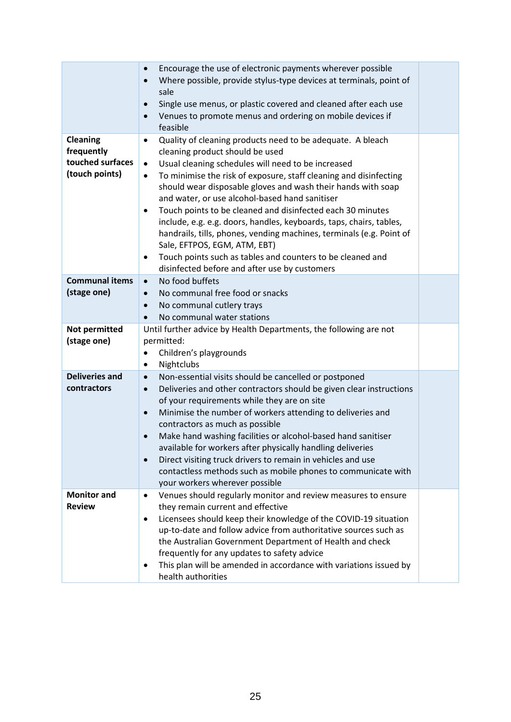|                                                                     | Encourage the use of electronic payments wherever possible<br>$\bullet$<br>Where possible, provide stylus-type devices at terminals, point of<br>$\bullet$<br>sale<br>Single use menus, or plastic covered and cleaned after each use<br>$\bullet$<br>Venues to promote menus and ordering on mobile devices if<br>$\bullet$<br>feasible                                                                                                                                                                                                                                                                                                                                                                                                           |  |
|---------------------------------------------------------------------|----------------------------------------------------------------------------------------------------------------------------------------------------------------------------------------------------------------------------------------------------------------------------------------------------------------------------------------------------------------------------------------------------------------------------------------------------------------------------------------------------------------------------------------------------------------------------------------------------------------------------------------------------------------------------------------------------------------------------------------------------|--|
| <b>Cleaning</b><br>frequently<br>touched surfaces<br>(touch points) | Quality of cleaning products need to be adequate. A bleach<br>$\bullet$<br>cleaning product should be used<br>Usual cleaning schedules will need to be increased<br>$\bullet$<br>To minimise the risk of exposure, staff cleaning and disinfecting<br>$\bullet$<br>should wear disposable gloves and wash their hands with soap<br>and water, or use alcohol-based hand sanitiser<br>Touch points to be cleaned and disinfected each 30 minutes<br>٠<br>include, e.g. e.g. doors, handles, keyboards, taps, chairs, tables,<br>handrails, tills, phones, vending machines, terminals (e.g. Point of<br>Sale, EFTPOS, EGM, ATM, EBT)<br>Touch points such as tables and counters to be cleaned and<br>disinfected before and after use by customers |  |
| <b>Communal items</b><br>(stage one)                                | No food buffets<br>$\bullet$<br>No communal free food or snacks<br>$\bullet$<br>No communal cutlery trays<br>$\bullet$<br>No communal water stations<br>$\bullet$                                                                                                                                                                                                                                                                                                                                                                                                                                                                                                                                                                                  |  |
| Not permitted<br>(stage one)                                        | Until further advice by Health Departments, the following are not<br>permitted:<br>Children's playgrounds<br>$\bullet$<br>Nightclubs<br>٠                                                                                                                                                                                                                                                                                                                                                                                                                                                                                                                                                                                                          |  |
| <b>Deliveries and</b><br>contractors                                | Non-essential visits should be cancelled or postponed<br>$\bullet$<br>Deliveries and other contractors should be given clear instructions<br>$\bullet$<br>of your requirements while they are on site<br>Minimise the number of workers attending to deliveries and<br>$\bullet$<br>contractors as much as possible<br>Make hand washing facilities or alcohol-based hand sanitiser<br>$\bullet$<br>available for workers after physically handling deliveries<br>Direct visiting truck drivers to remain in vehicles and use<br>$\bullet$<br>contactless methods such as mobile phones to communicate with<br>your workers wherever possible                                                                                                      |  |
| <b>Monitor and</b><br><b>Review</b>                                 | Venues should regularly monitor and review measures to ensure<br>$\bullet$<br>they remain current and effective<br>Licensees should keep their knowledge of the COVID-19 situation<br>$\bullet$<br>up-to-date and follow advice from authoritative sources such as<br>the Australian Government Department of Health and check<br>frequently for any updates to safety advice<br>This plan will be amended in accordance with variations issued by<br>health authorities                                                                                                                                                                                                                                                                           |  |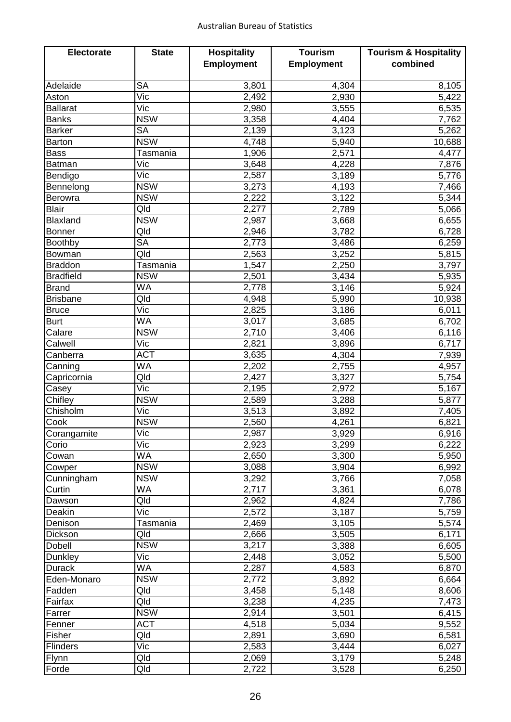| <b>Electorate</b> | <b>State</b>            | <b>Hospitality</b> | <b>Tourism</b>    | <b>Tourism &amp; Hospitality</b> |
|-------------------|-------------------------|--------------------|-------------------|----------------------------------|
|                   |                         | <b>Employment</b>  | <b>Employment</b> | combined                         |
|                   |                         |                    |                   |                                  |
| Adelaide          | <b>SA</b>               | 3,801              | 4,304             | 8,105                            |
| Aston             | Vic                     | 2,492              | 2,930             | 5,422                            |
| <b>Ballarat</b>   | Vic                     | 2,980              | 3,555             | 6,535                            |
| <b>Banks</b>      | <b>NSW</b>              | 3,358              | 4,404             | 7,762                            |
| <b>Barker</b>     | <b>SA</b>               | 2,139              | 3,123             | 5,262                            |
| <b>Barton</b>     | <b>NSW</b>              | 4,748              | 5,940             | 10,688                           |
| <b>Bass</b>       | Tasmania                | 1,906              | 2,571             | 4,477                            |
| <b>Batman</b>     | Vic                     | 3,648              | 4,228             | 7,876                            |
| Bendigo           | Vic                     | 2,587              | 3,189             | 5,776                            |
| Bennelong         | <b>NSW</b>              | 3,273              | 4,193             | 7,466                            |
| <b>Berowra</b>    | <b>NSW</b>              | 2,222              | 3,122             | 5,344                            |
| <b>Blair</b>      | Qld                     | 2,277              | 2,789             | 5,066                            |
| Blaxland          | <b>NSW</b>              | 2,987              | 3,668             | 6,655                            |
| <b>Bonner</b>     | Qld                     | 2,946              | 3,782             | 6,728                            |
| <b>Boothby</b>    | <b>SA</b>               | 2,773              | 3,486             | 6,259                            |
| Bowman            | Qld                     | 2,563              | 3,252             | 5,815                            |
| <b>Braddon</b>    | Tasmania                | 1,547              | 2,250             | 3,797                            |
| <b>Bradfield</b>  | <b>NSW</b>              | 2,501              | 3,434             | 5,935                            |
| <b>Brand</b>      | <b>WA</b>               | 2,778              | 3,146             | 5,924                            |
| <b>Brisbane</b>   | Qld                     | 4,948              | 5,990             | 10,938                           |
| <b>Bruce</b>      | Vic                     | 2,825              | 3,186             | 6,011                            |
| <b>Burt</b>       | <b>WA</b>               | 3,017              | 3,685             | 6,702                            |
| Calare            | <b>NSW</b>              | 2,710              | 3,406             | 6,116                            |
| Calwell           | Vic                     | 2,821              | 3,896             | 6,717                            |
| Canberra          | <b>ACT</b>              | 3,635              | 4,304             | 7,939                            |
| Canning           | <b>WA</b>               | 2,202              | 2,755             | 4,957                            |
| Capricornia       | Qld                     | 2,427              | 3,327             | 5,754                            |
| Casey             | Vic                     | 2,195              | 2,972             | 5,167                            |
| Chifley           | <b>NSW</b>              | 2,589              | 3,288             | 5,877                            |
| Chisholm          | Vic                     | 3,513              | 3,892             | 7,405                            |
| Cook              | <b>NSW</b>              | 2,560              | 4,261             | 6,821                            |
| Corangamite       | $\overline{\text{Vic}}$ | 2,987              | 3,929             | 6,916                            |
| Corio             | Vic                     | 2,923              | 3,299             | 6,222                            |
| Cowan             | WA                      | 2,650              | 3,300             | 5,950                            |
| Cowper            | <b>NSW</b>              | 3,088              | 3,904             | 6,992                            |
| Cunningham        | <b>NSW</b>              | 3,292              | 3,766             | 7,058                            |
| Curtin            | <b>WA</b>               | 2,717              | 3,361             | 6,078                            |
| Dawson            | Qld                     | 2,962              | 4,824             | 7,786                            |
| Deakin            | Vic                     | 2,572              | 3,187             | 5,759                            |
| Denison           | Tasmania                | 2,469              | 3,105             | 5,574                            |
| Dickson           | Qld                     | 2,666              | 3,505             | 6,171                            |
| Dobell            | <b>NSW</b>              | 3,217              | 3,388             | 6,605                            |
| <b>Dunkley</b>    | Vic                     | 2,448              | 3,052             | 5,500                            |
| <b>Durack</b>     | WA                      | 2,287              | 4,583             | 6,870                            |
| Eden-Monaro       | <b>NSW</b>              | 2,772              | 3,892             | 6,664                            |
| Fadden            | Qld                     | 3,458              | 5,148             | 8,606                            |
| Fairfax           | Qld                     | 3,238              | 4,235             | 7,473                            |
| Farrer            | <b>NSW</b>              | 2,914              | 3,501             | 6,415                            |
| Fenner            | <b>ACT</b>              | 4,518              | 5,034             | 9,552                            |
| Fisher            | Qld                     | 2,891              | 3,690             | 6,581                            |
| <b>Flinders</b>   | Vic                     | 2,583              | 3,444             | 6,027                            |
| Flynn             | Qld                     | 2,069              | 3,179             | 5,248                            |
| Forde             | Qld                     | 2,722              | 3,528             | 6,250                            |
|                   |                         |                    |                   |                                  |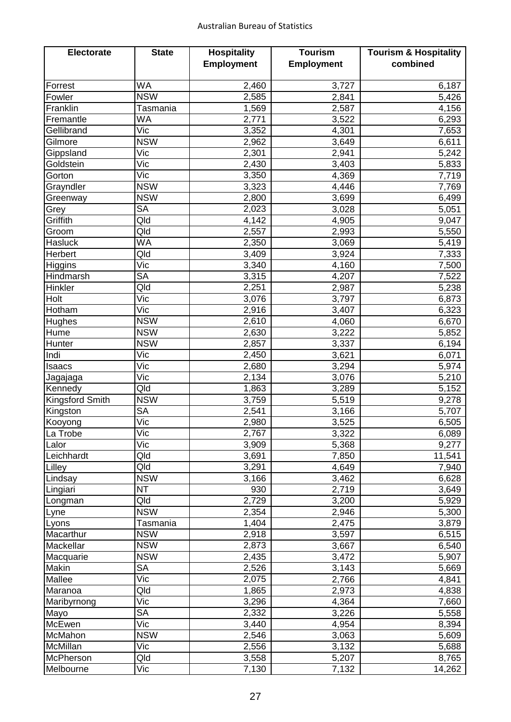| <b>Employment</b><br>combined<br><b>Employment</b><br><b>WA</b><br>2,460<br>3,727<br>Forrest<br>6,187<br><b>NSW</b><br>2,585<br>2,841<br>5,426<br>Fowler<br>Tasmania<br>2,587<br>4,156<br>Franklin<br>1,569<br><b>WA</b><br>3,522<br>Fremantle<br>2,771<br>6,293<br>Vic<br>Gellibrand<br>3,352<br>4,301<br>7,653<br><b>NSW</b><br>6,611<br>Gilmore<br>2,962<br>3,649<br>Vic<br>2,301<br>2,941<br>5,242<br>Gippsland<br>Vic<br>Goldstein<br>2,430<br>5,833<br>3,403<br>Vic<br>3,350<br>4,369<br>7,719<br>Gorton<br><b>NSW</b><br>3,323<br>7,769<br>Grayndler<br>4,446<br><b>NSW</b><br>6,499<br>2,800<br>3,699<br>Greenway<br><b>SA</b><br>2,023<br>5,051<br>3,028<br>Grey<br>Qld<br>Griffith<br>4,905<br>9,047<br>4,142<br>Qld<br>2,993<br>5,550<br>2,557<br>Groom<br><b>WA</b><br>5,419<br><b>Hasluck</b><br>2,350<br>3,069<br>Qld<br>Herbert<br>3,409<br>3,924<br>7,333<br>Vic<br>3,340<br>7,500<br>Higgins<br>4,160<br><b>SA</b><br>7,522<br>Hindmarsh<br>3,315<br>4,207<br>Qld<br>2,251<br>Hinkler<br>5,238<br>2,987<br>Vic<br>Holt<br>3,076<br>3,797<br>6,873<br>Hotham<br>Vic<br>6,323<br>2,916<br>3,407<br><b>NSW</b><br>Hughes<br>2,610<br>6,670<br>4,060<br><b>NSW</b><br>2,630<br>3,222<br>5,852<br>Hume<br><b>NSW</b><br>6,194<br>2,857<br>3,337<br>Hunter<br>Vic<br>3,621<br>6,071<br>Indi<br>2,450<br>Vic<br>5,974<br>2,680<br>3,294<br>Isaacs<br>Vic<br>2,134<br>3,076<br>5,210<br>Jagajaga<br>Qld<br>1,863<br>3,289<br>5,152<br>Kennedy<br><b>NSW</b><br>Kingsford Smith<br>3,759<br>5,519<br>9,278<br><b>SA</b><br>2,541<br>Kingston<br>3,166<br>5,707<br>$\overline{\text{Vic}}$<br>3,525<br>6,505<br>2,980<br>Kooyong<br>$\overline{\text{Vic}}$<br>2,767<br>6,089<br>La Trobe<br>3,322<br>Vic<br>Lalor<br>5,368<br>9,277<br>3,909<br>Leichhardt<br>Qld<br>11,541<br>3,691<br>7,850<br>Qld<br>3,291<br>4,649<br>7,940<br>Lilley<br><b>NSW</b><br>3,166<br>3,462<br>6,628<br>Lindsay<br><b>NT</b><br>930<br>2,719<br>3,649<br>Lingiari<br>Qld<br>2,729<br>5,929<br>3,200<br>Longman<br><b>NSW</b><br>2,354<br>2,946<br>5,300<br>Lyne<br>1,404<br>2,475<br>3,879<br>Tasmania<br>Lyons<br><b>NSW</b><br>6,515<br>2,918<br>3,597<br>Macarthur<br><b>NSW</b><br>6,540<br>Mackellar<br>2,873<br>3,667<br><b>NSW</b><br>2,435<br>3,472<br>5,907<br>Macquarie<br>Makin<br><b>SA</b><br>2,526<br>3,143<br>5,669<br>Vic<br>Mallee<br>2,766<br>4,841<br>2,075<br>Qld<br>1,865<br>2,973<br>4,838<br>Maranoa<br>Vic<br>3,296<br>4,364<br>7,660<br>Maribyrnong<br><b>SA</b><br>Mayo<br>2,332<br>3,226<br>5,558<br>Vic<br>McEwen<br>3,440<br>4,954<br>8,394<br><b>NSW</b><br>McMahon<br>2,546<br>5,609<br>3,063<br>Vic<br>McMillan<br>2,556<br>3,132<br>5,688<br>Qld<br>3,558<br>5,207<br>8,765<br><b>McPherson</b><br>Vic<br>Melbourne<br>7,130<br>7,132<br>14,262 | <b>Electorate</b> | <b>State</b> | <b>Hospitality</b> | <b>Tourism</b> | <b>Tourism &amp; Hospitality</b> |
|------------------------------------------------------------------------------------------------------------------------------------------------------------------------------------------------------------------------------------------------------------------------------------------------------------------------------------------------------------------------------------------------------------------------------------------------------------------------------------------------------------------------------------------------------------------------------------------------------------------------------------------------------------------------------------------------------------------------------------------------------------------------------------------------------------------------------------------------------------------------------------------------------------------------------------------------------------------------------------------------------------------------------------------------------------------------------------------------------------------------------------------------------------------------------------------------------------------------------------------------------------------------------------------------------------------------------------------------------------------------------------------------------------------------------------------------------------------------------------------------------------------------------------------------------------------------------------------------------------------------------------------------------------------------------------------------------------------------------------------------------------------------------------------------------------------------------------------------------------------------------------------------------------------------------------------------------------------------------------------------------------------------------------------------------------------------------------------------------------------------------------------------------------------------------------------------------------------------------------------------------------------------------------------------------------------------------------------------------------------------------------------------------------------------------------------------------------------------------------------------------------------------------------------------------------------------------------------------------------------------------------------------------------------------------------------------------------------------------------------------------------------------|-------------------|--------------|--------------------|----------------|----------------------------------|
|                                                                                                                                                                                                                                                                                                                                                                                                                                                                                                                                                                                                                                                                                                                                                                                                                                                                                                                                                                                                                                                                                                                                                                                                                                                                                                                                                                                                                                                                                                                                                                                                                                                                                                                                                                                                                                                                                                                                                                                                                                                                                                                                                                                                                                                                                                                                                                                                                                                                                                                                                                                                                                                                                                                                                                        |                   |              |                    |                |                                  |
|                                                                                                                                                                                                                                                                                                                                                                                                                                                                                                                                                                                                                                                                                                                                                                                                                                                                                                                                                                                                                                                                                                                                                                                                                                                                                                                                                                                                                                                                                                                                                                                                                                                                                                                                                                                                                                                                                                                                                                                                                                                                                                                                                                                                                                                                                                                                                                                                                                                                                                                                                                                                                                                                                                                                                                        |                   |              |                    |                |                                  |
|                                                                                                                                                                                                                                                                                                                                                                                                                                                                                                                                                                                                                                                                                                                                                                                                                                                                                                                                                                                                                                                                                                                                                                                                                                                                                                                                                                                                                                                                                                                                                                                                                                                                                                                                                                                                                                                                                                                                                                                                                                                                                                                                                                                                                                                                                                                                                                                                                                                                                                                                                                                                                                                                                                                                                                        |                   |              |                    |                |                                  |
|                                                                                                                                                                                                                                                                                                                                                                                                                                                                                                                                                                                                                                                                                                                                                                                                                                                                                                                                                                                                                                                                                                                                                                                                                                                                                                                                                                                                                                                                                                                                                                                                                                                                                                                                                                                                                                                                                                                                                                                                                                                                                                                                                                                                                                                                                                                                                                                                                                                                                                                                                                                                                                                                                                                                                                        |                   |              |                    |                |                                  |
|                                                                                                                                                                                                                                                                                                                                                                                                                                                                                                                                                                                                                                                                                                                                                                                                                                                                                                                                                                                                                                                                                                                                                                                                                                                                                                                                                                                                                                                                                                                                                                                                                                                                                                                                                                                                                                                                                                                                                                                                                                                                                                                                                                                                                                                                                                                                                                                                                                                                                                                                                                                                                                                                                                                                                                        |                   |              |                    |                |                                  |
|                                                                                                                                                                                                                                                                                                                                                                                                                                                                                                                                                                                                                                                                                                                                                                                                                                                                                                                                                                                                                                                                                                                                                                                                                                                                                                                                                                                                                                                                                                                                                                                                                                                                                                                                                                                                                                                                                                                                                                                                                                                                                                                                                                                                                                                                                                                                                                                                                                                                                                                                                                                                                                                                                                                                                                        |                   |              |                    |                |                                  |
|                                                                                                                                                                                                                                                                                                                                                                                                                                                                                                                                                                                                                                                                                                                                                                                                                                                                                                                                                                                                                                                                                                                                                                                                                                                                                                                                                                                                                                                                                                                                                                                                                                                                                                                                                                                                                                                                                                                                                                                                                                                                                                                                                                                                                                                                                                                                                                                                                                                                                                                                                                                                                                                                                                                                                                        |                   |              |                    |                |                                  |
|                                                                                                                                                                                                                                                                                                                                                                                                                                                                                                                                                                                                                                                                                                                                                                                                                                                                                                                                                                                                                                                                                                                                                                                                                                                                                                                                                                                                                                                                                                                                                                                                                                                                                                                                                                                                                                                                                                                                                                                                                                                                                                                                                                                                                                                                                                                                                                                                                                                                                                                                                                                                                                                                                                                                                                        |                   |              |                    |                |                                  |
|                                                                                                                                                                                                                                                                                                                                                                                                                                                                                                                                                                                                                                                                                                                                                                                                                                                                                                                                                                                                                                                                                                                                                                                                                                                                                                                                                                                                                                                                                                                                                                                                                                                                                                                                                                                                                                                                                                                                                                                                                                                                                                                                                                                                                                                                                                                                                                                                                                                                                                                                                                                                                                                                                                                                                                        |                   |              |                    |                |                                  |
|                                                                                                                                                                                                                                                                                                                                                                                                                                                                                                                                                                                                                                                                                                                                                                                                                                                                                                                                                                                                                                                                                                                                                                                                                                                                                                                                                                                                                                                                                                                                                                                                                                                                                                                                                                                                                                                                                                                                                                                                                                                                                                                                                                                                                                                                                                                                                                                                                                                                                                                                                                                                                                                                                                                                                                        |                   |              |                    |                |                                  |
|                                                                                                                                                                                                                                                                                                                                                                                                                                                                                                                                                                                                                                                                                                                                                                                                                                                                                                                                                                                                                                                                                                                                                                                                                                                                                                                                                                                                                                                                                                                                                                                                                                                                                                                                                                                                                                                                                                                                                                                                                                                                                                                                                                                                                                                                                                                                                                                                                                                                                                                                                                                                                                                                                                                                                                        |                   |              |                    |                |                                  |
|                                                                                                                                                                                                                                                                                                                                                                                                                                                                                                                                                                                                                                                                                                                                                                                                                                                                                                                                                                                                                                                                                                                                                                                                                                                                                                                                                                                                                                                                                                                                                                                                                                                                                                                                                                                                                                                                                                                                                                                                                                                                                                                                                                                                                                                                                                                                                                                                                                                                                                                                                                                                                                                                                                                                                                        |                   |              |                    |                |                                  |
|                                                                                                                                                                                                                                                                                                                                                                                                                                                                                                                                                                                                                                                                                                                                                                                                                                                                                                                                                                                                                                                                                                                                                                                                                                                                                                                                                                                                                                                                                                                                                                                                                                                                                                                                                                                                                                                                                                                                                                                                                                                                                                                                                                                                                                                                                                                                                                                                                                                                                                                                                                                                                                                                                                                                                                        |                   |              |                    |                |                                  |
|                                                                                                                                                                                                                                                                                                                                                                                                                                                                                                                                                                                                                                                                                                                                                                                                                                                                                                                                                                                                                                                                                                                                                                                                                                                                                                                                                                                                                                                                                                                                                                                                                                                                                                                                                                                                                                                                                                                                                                                                                                                                                                                                                                                                                                                                                                                                                                                                                                                                                                                                                                                                                                                                                                                                                                        |                   |              |                    |                |                                  |
|                                                                                                                                                                                                                                                                                                                                                                                                                                                                                                                                                                                                                                                                                                                                                                                                                                                                                                                                                                                                                                                                                                                                                                                                                                                                                                                                                                                                                                                                                                                                                                                                                                                                                                                                                                                                                                                                                                                                                                                                                                                                                                                                                                                                                                                                                                                                                                                                                                                                                                                                                                                                                                                                                                                                                                        |                   |              |                    |                |                                  |
|                                                                                                                                                                                                                                                                                                                                                                                                                                                                                                                                                                                                                                                                                                                                                                                                                                                                                                                                                                                                                                                                                                                                                                                                                                                                                                                                                                                                                                                                                                                                                                                                                                                                                                                                                                                                                                                                                                                                                                                                                                                                                                                                                                                                                                                                                                                                                                                                                                                                                                                                                                                                                                                                                                                                                                        |                   |              |                    |                |                                  |
|                                                                                                                                                                                                                                                                                                                                                                                                                                                                                                                                                                                                                                                                                                                                                                                                                                                                                                                                                                                                                                                                                                                                                                                                                                                                                                                                                                                                                                                                                                                                                                                                                                                                                                                                                                                                                                                                                                                                                                                                                                                                                                                                                                                                                                                                                                                                                                                                                                                                                                                                                                                                                                                                                                                                                                        |                   |              |                    |                |                                  |
|                                                                                                                                                                                                                                                                                                                                                                                                                                                                                                                                                                                                                                                                                                                                                                                                                                                                                                                                                                                                                                                                                                                                                                                                                                                                                                                                                                                                                                                                                                                                                                                                                                                                                                                                                                                                                                                                                                                                                                                                                                                                                                                                                                                                                                                                                                                                                                                                                                                                                                                                                                                                                                                                                                                                                                        |                   |              |                    |                |                                  |
|                                                                                                                                                                                                                                                                                                                                                                                                                                                                                                                                                                                                                                                                                                                                                                                                                                                                                                                                                                                                                                                                                                                                                                                                                                                                                                                                                                                                                                                                                                                                                                                                                                                                                                                                                                                                                                                                                                                                                                                                                                                                                                                                                                                                                                                                                                                                                                                                                                                                                                                                                                                                                                                                                                                                                                        |                   |              |                    |                |                                  |
|                                                                                                                                                                                                                                                                                                                                                                                                                                                                                                                                                                                                                                                                                                                                                                                                                                                                                                                                                                                                                                                                                                                                                                                                                                                                                                                                                                                                                                                                                                                                                                                                                                                                                                                                                                                                                                                                                                                                                                                                                                                                                                                                                                                                                                                                                                                                                                                                                                                                                                                                                                                                                                                                                                                                                                        |                   |              |                    |                |                                  |
|                                                                                                                                                                                                                                                                                                                                                                                                                                                                                                                                                                                                                                                                                                                                                                                                                                                                                                                                                                                                                                                                                                                                                                                                                                                                                                                                                                                                                                                                                                                                                                                                                                                                                                                                                                                                                                                                                                                                                                                                                                                                                                                                                                                                                                                                                                                                                                                                                                                                                                                                                                                                                                                                                                                                                                        |                   |              |                    |                |                                  |
|                                                                                                                                                                                                                                                                                                                                                                                                                                                                                                                                                                                                                                                                                                                                                                                                                                                                                                                                                                                                                                                                                                                                                                                                                                                                                                                                                                                                                                                                                                                                                                                                                                                                                                                                                                                                                                                                                                                                                                                                                                                                                                                                                                                                                                                                                                                                                                                                                                                                                                                                                                                                                                                                                                                                                                        |                   |              |                    |                |                                  |
|                                                                                                                                                                                                                                                                                                                                                                                                                                                                                                                                                                                                                                                                                                                                                                                                                                                                                                                                                                                                                                                                                                                                                                                                                                                                                                                                                                                                                                                                                                                                                                                                                                                                                                                                                                                                                                                                                                                                                                                                                                                                                                                                                                                                                                                                                                                                                                                                                                                                                                                                                                                                                                                                                                                                                                        |                   |              |                    |                |                                  |
|                                                                                                                                                                                                                                                                                                                                                                                                                                                                                                                                                                                                                                                                                                                                                                                                                                                                                                                                                                                                                                                                                                                                                                                                                                                                                                                                                                                                                                                                                                                                                                                                                                                                                                                                                                                                                                                                                                                                                                                                                                                                                                                                                                                                                                                                                                                                                                                                                                                                                                                                                                                                                                                                                                                                                                        |                   |              |                    |                |                                  |
|                                                                                                                                                                                                                                                                                                                                                                                                                                                                                                                                                                                                                                                                                                                                                                                                                                                                                                                                                                                                                                                                                                                                                                                                                                                                                                                                                                                                                                                                                                                                                                                                                                                                                                                                                                                                                                                                                                                                                                                                                                                                                                                                                                                                                                                                                                                                                                                                                                                                                                                                                                                                                                                                                                                                                                        |                   |              |                    |                |                                  |
|                                                                                                                                                                                                                                                                                                                                                                                                                                                                                                                                                                                                                                                                                                                                                                                                                                                                                                                                                                                                                                                                                                                                                                                                                                                                                                                                                                                                                                                                                                                                                                                                                                                                                                                                                                                                                                                                                                                                                                                                                                                                                                                                                                                                                                                                                                                                                                                                                                                                                                                                                                                                                                                                                                                                                                        |                   |              |                    |                |                                  |
|                                                                                                                                                                                                                                                                                                                                                                                                                                                                                                                                                                                                                                                                                                                                                                                                                                                                                                                                                                                                                                                                                                                                                                                                                                                                                                                                                                                                                                                                                                                                                                                                                                                                                                                                                                                                                                                                                                                                                                                                                                                                                                                                                                                                                                                                                                                                                                                                                                                                                                                                                                                                                                                                                                                                                                        |                   |              |                    |                |                                  |
|                                                                                                                                                                                                                                                                                                                                                                                                                                                                                                                                                                                                                                                                                                                                                                                                                                                                                                                                                                                                                                                                                                                                                                                                                                                                                                                                                                                                                                                                                                                                                                                                                                                                                                                                                                                                                                                                                                                                                                                                                                                                                                                                                                                                                                                                                                                                                                                                                                                                                                                                                                                                                                                                                                                                                                        |                   |              |                    |                |                                  |
|                                                                                                                                                                                                                                                                                                                                                                                                                                                                                                                                                                                                                                                                                                                                                                                                                                                                                                                                                                                                                                                                                                                                                                                                                                                                                                                                                                                                                                                                                                                                                                                                                                                                                                                                                                                                                                                                                                                                                                                                                                                                                                                                                                                                                                                                                                                                                                                                                                                                                                                                                                                                                                                                                                                                                                        |                   |              |                    |                |                                  |
|                                                                                                                                                                                                                                                                                                                                                                                                                                                                                                                                                                                                                                                                                                                                                                                                                                                                                                                                                                                                                                                                                                                                                                                                                                                                                                                                                                                                                                                                                                                                                                                                                                                                                                                                                                                                                                                                                                                                                                                                                                                                                                                                                                                                                                                                                                                                                                                                                                                                                                                                                                                                                                                                                                                                                                        |                   |              |                    |                |                                  |
|                                                                                                                                                                                                                                                                                                                                                                                                                                                                                                                                                                                                                                                                                                                                                                                                                                                                                                                                                                                                                                                                                                                                                                                                                                                                                                                                                                                                                                                                                                                                                                                                                                                                                                                                                                                                                                                                                                                                                                                                                                                                                                                                                                                                                                                                                                                                                                                                                                                                                                                                                                                                                                                                                                                                                                        |                   |              |                    |                |                                  |
|                                                                                                                                                                                                                                                                                                                                                                                                                                                                                                                                                                                                                                                                                                                                                                                                                                                                                                                                                                                                                                                                                                                                                                                                                                                                                                                                                                                                                                                                                                                                                                                                                                                                                                                                                                                                                                                                                                                                                                                                                                                                                                                                                                                                                                                                                                                                                                                                                                                                                                                                                                                                                                                                                                                                                                        |                   |              |                    |                |                                  |
|                                                                                                                                                                                                                                                                                                                                                                                                                                                                                                                                                                                                                                                                                                                                                                                                                                                                                                                                                                                                                                                                                                                                                                                                                                                                                                                                                                                                                                                                                                                                                                                                                                                                                                                                                                                                                                                                                                                                                                                                                                                                                                                                                                                                                                                                                                                                                                                                                                                                                                                                                                                                                                                                                                                                                                        |                   |              |                    |                |                                  |
|                                                                                                                                                                                                                                                                                                                                                                                                                                                                                                                                                                                                                                                                                                                                                                                                                                                                                                                                                                                                                                                                                                                                                                                                                                                                                                                                                                                                                                                                                                                                                                                                                                                                                                                                                                                                                                                                                                                                                                                                                                                                                                                                                                                                                                                                                                                                                                                                                                                                                                                                                                                                                                                                                                                                                                        |                   |              |                    |                |                                  |
|                                                                                                                                                                                                                                                                                                                                                                                                                                                                                                                                                                                                                                                                                                                                                                                                                                                                                                                                                                                                                                                                                                                                                                                                                                                                                                                                                                                                                                                                                                                                                                                                                                                                                                                                                                                                                                                                                                                                                                                                                                                                                                                                                                                                                                                                                                                                                                                                                                                                                                                                                                                                                                                                                                                                                                        |                   |              |                    |                |                                  |
|                                                                                                                                                                                                                                                                                                                                                                                                                                                                                                                                                                                                                                                                                                                                                                                                                                                                                                                                                                                                                                                                                                                                                                                                                                                                                                                                                                                                                                                                                                                                                                                                                                                                                                                                                                                                                                                                                                                                                                                                                                                                                                                                                                                                                                                                                                                                                                                                                                                                                                                                                                                                                                                                                                                                                                        |                   |              |                    |                |                                  |
|                                                                                                                                                                                                                                                                                                                                                                                                                                                                                                                                                                                                                                                                                                                                                                                                                                                                                                                                                                                                                                                                                                                                                                                                                                                                                                                                                                                                                                                                                                                                                                                                                                                                                                                                                                                                                                                                                                                                                                                                                                                                                                                                                                                                                                                                                                                                                                                                                                                                                                                                                                                                                                                                                                                                                                        |                   |              |                    |                |                                  |
|                                                                                                                                                                                                                                                                                                                                                                                                                                                                                                                                                                                                                                                                                                                                                                                                                                                                                                                                                                                                                                                                                                                                                                                                                                                                                                                                                                                                                                                                                                                                                                                                                                                                                                                                                                                                                                                                                                                                                                                                                                                                                                                                                                                                                                                                                                                                                                                                                                                                                                                                                                                                                                                                                                                                                                        |                   |              |                    |                |                                  |
|                                                                                                                                                                                                                                                                                                                                                                                                                                                                                                                                                                                                                                                                                                                                                                                                                                                                                                                                                                                                                                                                                                                                                                                                                                                                                                                                                                                                                                                                                                                                                                                                                                                                                                                                                                                                                                                                                                                                                                                                                                                                                                                                                                                                                                                                                                                                                                                                                                                                                                                                                                                                                                                                                                                                                                        |                   |              |                    |                |                                  |
|                                                                                                                                                                                                                                                                                                                                                                                                                                                                                                                                                                                                                                                                                                                                                                                                                                                                                                                                                                                                                                                                                                                                                                                                                                                                                                                                                                                                                                                                                                                                                                                                                                                                                                                                                                                                                                                                                                                                                                                                                                                                                                                                                                                                                                                                                                                                                                                                                                                                                                                                                                                                                                                                                                                                                                        |                   |              |                    |                |                                  |
|                                                                                                                                                                                                                                                                                                                                                                                                                                                                                                                                                                                                                                                                                                                                                                                                                                                                                                                                                                                                                                                                                                                                                                                                                                                                                                                                                                                                                                                                                                                                                                                                                                                                                                                                                                                                                                                                                                                                                                                                                                                                                                                                                                                                                                                                                                                                                                                                                                                                                                                                                                                                                                                                                                                                                                        |                   |              |                    |                |                                  |
|                                                                                                                                                                                                                                                                                                                                                                                                                                                                                                                                                                                                                                                                                                                                                                                                                                                                                                                                                                                                                                                                                                                                                                                                                                                                                                                                                                                                                                                                                                                                                                                                                                                                                                                                                                                                                                                                                                                                                                                                                                                                                                                                                                                                                                                                                                                                                                                                                                                                                                                                                                                                                                                                                                                                                                        |                   |              |                    |                |                                  |
|                                                                                                                                                                                                                                                                                                                                                                                                                                                                                                                                                                                                                                                                                                                                                                                                                                                                                                                                                                                                                                                                                                                                                                                                                                                                                                                                                                                                                                                                                                                                                                                                                                                                                                                                                                                                                                                                                                                                                                                                                                                                                                                                                                                                                                                                                                                                                                                                                                                                                                                                                                                                                                                                                                                                                                        |                   |              |                    |                |                                  |
|                                                                                                                                                                                                                                                                                                                                                                                                                                                                                                                                                                                                                                                                                                                                                                                                                                                                                                                                                                                                                                                                                                                                                                                                                                                                                                                                                                                                                                                                                                                                                                                                                                                                                                                                                                                                                                                                                                                                                                                                                                                                                                                                                                                                                                                                                                                                                                                                                                                                                                                                                                                                                                                                                                                                                                        |                   |              |                    |                |                                  |
|                                                                                                                                                                                                                                                                                                                                                                                                                                                                                                                                                                                                                                                                                                                                                                                                                                                                                                                                                                                                                                                                                                                                                                                                                                                                                                                                                                                                                                                                                                                                                                                                                                                                                                                                                                                                                                                                                                                                                                                                                                                                                                                                                                                                                                                                                                                                                                                                                                                                                                                                                                                                                                                                                                                                                                        |                   |              |                    |                |                                  |
|                                                                                                                                                                                                                                                                                                                                                                                                                                                                                                                                                                                                                                                                                                                                                                                                                                                                                                                                                                                                                                                                                                                                                                                                                                                                                                                                                                                                                                                                                                                                                                                                                                                                                                                                                                                                                                                                                                                                                                                                                                                                                                                                                                                                                                                                                                                                                                                                                                                                                                                                                                                                                                                                                                                                                                        |                   |              |                    |                |                                  |
|                                                                                                                                                                                                                                                                                                                                                                                                                                                                                                                                                                                                                                                                                                                                                                                                                                                                                                                                                                                                                                                                                                                                                                                                                                                                                                                                                                                                                                                                                                                                                                                                                                                                                                                                                                                                                                                                                                                                                                                                                                                                                                                                                                                                                                                                                                                                                                                                                                                                                                                                                                                                                                                                                                                                                                        |                   |              |                    |                |                                  |
|                                                                                                                                                                                                                                                                                                                                                                                                                                                                                                                                                                                                                                                                                                                                                                                                                                                                                                                                                                                                                                                                                                                                                                                                                                                                                                                                                                                                                                                                                                                                                                                                                                                                                                                                                                                                                                                                                                                                                                                                                                                                                                                                                                                                                                                                                                                                                                                                                                                                                                                                                                                                                                                                                                                                                                        |                   |              |                    |                |                                  |
|                                                                                                                                                                                                                                                                                                                                                                                                                                                                                                                                                                                                                                                                                                                                                                                                                                                                                                                                                                                                                                                                                                                                                                                                                                                                                                                                                                                                                                                                                                                                                                                                                                                                                                                                                                                                                                                                                                                                                                                                                                                                                                                                                                                                                                                                                                                                                                                                                                                                                                                                                                                                                                                                                                                                                                        |                   |              |                    |                |                                  |
|                                                                                                                                                                                                                                                                                                                                                                                                                                                                                                                                                                                                                                                                                                                                                                                                                                                                                                                                                                                                                                                                                                                                                                                                                                                                                                                                                                                                                                                                                                                                                                                                                                                                                                                                                                                                                                                                                                                                                                                                                                                                                                                                                                                                                                                                                                                                                                                                                                                                                                                                                                                                                                                                                                                                                                        |                   |              |                    |                |                                  |
|                                                                                                                                                                                                                                                                                                                                                                                                                                                                                                                                                                                                                                                                                                                                                                                                                                                                                                                                                                                                                                                                                                                                                                                                                                                                                                                                                                                                                                                                                                                                                                                                                                                                                                                                                                                                                                                                                                                                                                                                                                                                                                                                                                                                                                                                                                                                                                                                                                                                                                                                                                                                                                                                                                                                                                        |                   |              |                    |                |                                  |
|                                                                                                                                                                                                                                                                                                                                                                                                                                                                                                                                                                                                                                                                                                                                                                                                                                                                                                                                                                                                                                                                                                                                                                                                                                                                                                                                                                                                                                                                                                                                                                                                                                                                                                                                                                                                                                                                                                                                                                                                                                                                                                                                                                                                                                                                                                                                                                                                                                                                                                                                                                                                                                                                                                                                                                        |                   |              |                    |                |                                  |
|                                                                                                                                                                                                                                                                                                                                                                                                                                                                                                                                                                                                                                                                                                                                                                                                                                                                                                                                                                                                                                                                                                                                                                                                                                                                                                                                                                                                                                                                                                                                                                                                                                                                                                                                                                                                                                                                                                                                                                                                                                                                                                                                                                                                                                                                                                                                                                                                                                                                                                                                                                                                                                                                                                                                                                        |                   |              |                    |                |                                  |
|                                                                                                                                                                                                                                                                                                                                                                                                                                                                                                                                                                                                                                                                                                                                                                                                                                                                                                                                                                                                                                                                                                                                                                                                                                                                                                                                                                                                                                                                                                                                                                                                                                                                                                                                                                                                                                                                                                                                                                                                                                                                                                                                                                                                                                                                                                                                                                                                                                                                                                                                                                                                                                                                                                                                                                        |                   |              |                    |                |                                  |
|                                                                                                                                                                                                                                                                                                                                                                                                                                                                                                                                                                                                                                                                                                                                                                                                                                                                                                                                                                                                                                                                                                                                                                                                                                                                                                                                                                                                                                                                                                                                                                                                                                                                                                                                                                                                                                                                                                                                                                                                                                                                                                                                                                                                                                                                                                                                                                                                                                                                                                                                                                                                                                                                                                                                                                        |                   |              |                    |                |                                  |